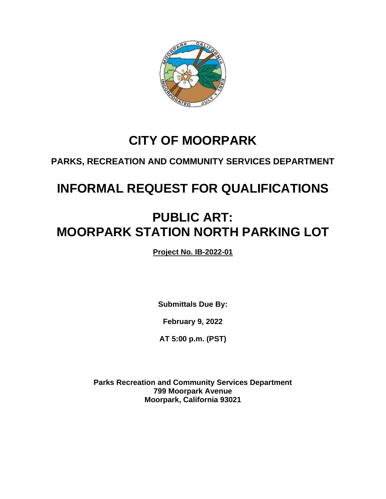

# **CITY OF MOORPARK**

# **PARKS, RECREATION AND COMMUNITY SERVICES DEPARTMENT**

# **INFORMAL REQUEST FOR QUALIFICATIONS**

# **PUBLIC ART: MOORPARK STATION NORTH PARKING LOT**

**Project No. IB-2022-01**

**Submittals Due By:**

**February 9, 2022**

**AT 5:00 p.m. (PST)**

**Parks Recreation and Community Services Department 799 Moorpark Avenue Moorpark, California 93021**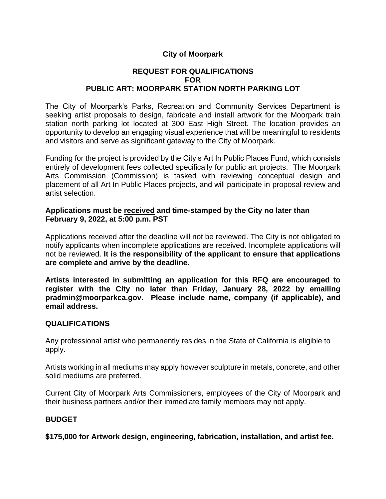# **City of Moorpark**

# **REQUEST FOR QUALIFICATIONS FOR PUBLIC ART: MOORPARK STATION NORTH PARKING LOT**

The City of Moorpark's Parks, Recreation and Community Services Department is seeking artist proposals to design, fabricate and install artwork for the Moorpark train station north parking lot located at 300 East High Street. The location provides an opportunity to develop an engaging visual experience that will be meaningful to residents and visitors and serve as significant gateway to the City of Moorpark.

Funding for the project is provided by the City's Art In Public Places Fund, which consists entirely of development fees collected specifically for public art projects. The Moorpark Arts Commission (Commission) is tasked with reviewing conceptual design and placement of all Art In Public Places projects, and will participate in proposal review and artist selection.

#### **Applications must be received and time-stamped by the City no later than February 9, 2022, at 5:00 p.m. PST**

Applications received after the deadline will not be reviewed. The City is not obligated to notify applicants when incomplete applications are received. Incomplete applications will not be reviewed. **It is the responsibility of the applicant to ensure that applications are complete and arrive by the deadline.**

**Artists interested in submitting an application for this RFQ are encouraged to register with the City no later than Friday, January 28, 2022 by emailing pradmin@moorparkca.gov. Please include name, company (if applicable), and email address.**

#### **QUALIFICATIONS**

Any professional artist who permanently resides in the State of California is eligible to apply.

Artists working in all mediums may apply however sculpture in metals, concrete, and other solid mediums are preferred.

Current City of Moorpark Arts Commissioners, employees of the City of Moorpark and their business partners and/or their immediate family members may not apply.

# **BUDGET**

**\$175,000 for Artwork design, engineering, fabrication, installation, and artist fee.**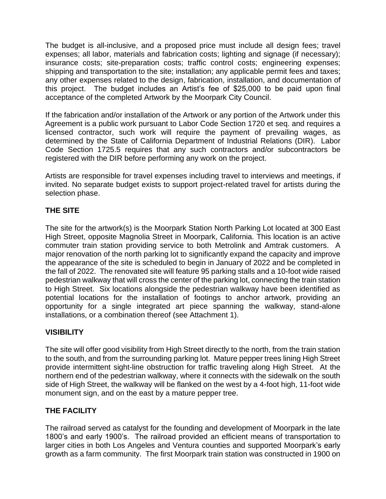The budget is all-inclusive, and a proposed price must include all design fees; travel expenses; all labor, materials and fabrication costs; lighting and signage (if necessary); insurance costs; site-preparation costs; traffic control costs; engineering expenses; shipping and transportation to the site; installation; any applicable permit fees and taxes; any other expenses related to the design, fabrication, installation, and documentation of this project. The budget includes an Artist's fee of \$25,000 to be paid upon final acceptance of the completed Artwork by the Moorpark City Council.

If the fabrication and/or installation of the Artwork or any portion of the Artwork under this Agreement is a public work pursuant to Labor Code Section 1720 et seq. and requires a licensed contractor, such work will require the payment of prevailing wages, as determined by the State of California Department of Industrial Relations (DIR). Labor Code Section 1725.5 requires that any such contractors and/or subcontractors be registered with the DIR before performing any work on the project.

Artists are responsible for travel expenses including travel to interviews and meetings, if invited. No separate budget exists to support project-related travel for artists during the selection phase.

# **THE SITE**

The site for the artwork(s) is the Moorpark Station North Parking Lot located at 300 East High Street, opposite Magnolia Street in Moorpark, California. This location is an active commuter train station providing service to both Metrolink and Amtrak customers. A major renovation of the north parking lot to significantly expand the capacity and improve the appearance of the site is scheduled to begin in January of 2022 and be completed in the fall of 2022. The renovated site will feature 95 parking stalls and a 10-foot wide raised pedestrian walkway that will cross the center of the parking lot, connecting the train station to High Street. Six locations alongside the pedestrian walkway have been identified as potential locations for the installation of footings to anchor artwork, providing an opportunity for a single integrated art piece spanning the walkway, stand-alone installations, or a combination thereof (see Attachment 1).

# **VISIBILITY**

The site will offer good visibility from High Street directly to the north, from the train station to the south, and from the surrounding parking lot. Mature pepper trees lining High Street provide intermittent sight-line obstruction for traffic traveling along High Street. At the northern end of the pedestrian walkway, where it connects with the sidewalk on the south side of High Street, the walkway will be flanked on the west by a 4-foot high, 11-foot wide monument sign, and on the east by a mature pepper tree.

# **THE FACILITY**

The railroad served as catalyst for the founding and development of Moorpark in the late 1800's and early 1900's. The railroad provided an efficient means of transportation to larger cities in both Los Angeles and Ventura counties and supported Moorpark's early growth as a farm community. The first Moorpark train station was constructed in 1900 on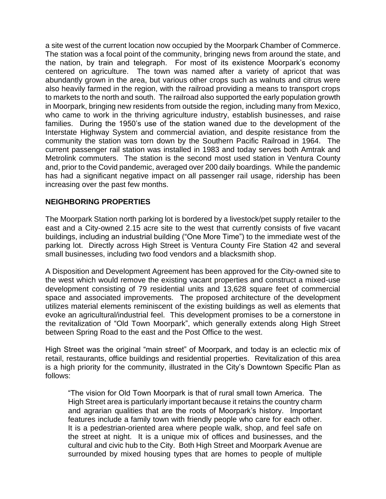a site west of the current location now occupied by the Moorpark Chamber of Commerce. The station was a focal point of the community, bringing news from around the state, and the nation, by train and telegraph. For most of its existence Moorpark's economy centered on agriculture. The town was named after a variety of apricot that was abundantly grown in the area, but various other crops such as walnuts and citrus were also heavily farmed in the region, with the railroad providing a means to transport crops to markets to the north and south. The railroad also supported the early population growth in Moorpark, bringing new residents from outside the region, including many from Mexico, who came to work in the thriving agriculture industry, establish businesses, and raise families. During the 1950's use of the station waned due to the development of the Interstate Highway System and commercial aviation, and despite resistance from the community the station was torn down by the Southern Pacific Railroad in 1964. The current passenger rail station was installed in 1983 and today serves both Amtrak and Metrolink commuters. The station is the second most used station in Ventura County and, prior to the Covid pandemic, averaged over 200 daily boardings. While the pandemic has had a significant negative impact on all passenger rail usage, ridership has been increasing over the past few months.

# **NEIGHBORING PROPERTIES**

The Moorpark Station north parking lot is bordered by a livestock/pet supply retailer to the east and a City-owned 2.15 acre site to the west that currently consists of five vacant buildings, including an industrial building ("One More Time") to the immediate west of the parking lot. Directly across High Street is Ventura County Fire Station 42 and several small businesses, including two food vendors and a blacksmith shop.

A Disposition and Development Agreement has been approved for the City-owned site to the west which would remove the existing vacant properties and construct a mixed-use development consisting of 79 residential units and 13,628 square feet of commercial space and associated improvements. The proposed architecture of the development utilizes material elements reminiscent of the existing buildings as well as elements that evoke an agricultural/industrial feel. This development promises to be a cornerstone in the revitalization of "Old Town Moorpark", which generally extends along High Street between Spring Road to the east and the Post Office to the west.

High Street was the original "main street" of Moorpark, and today is an eclectic mix of retail, restaurants, office buildings and residential properties. Revitalization of this area is a high priority for the community, illustrated in the City's Downtown Specific Plan as follows:

"The vision for Old Town Moorpark is that of rural small town America. The High Street area is particularly important because it retains the country charm and agrarian qualities that are the roots of Moorpark's history. Important features include a family town with friendly people who care for each other. It is a pedestrian-oriented area where people walk, shop, and feel safe on the street at night. It is a unique mix of offices and businesses, and the cultural and civic hub to the City. Both High Street and Moorpark Avenue are surrounded by mixed housing types that are homes to people of multiple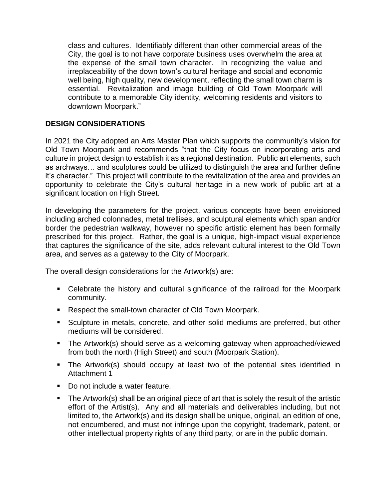class and cultures. Identifiably different than other commercial areas of the City, the goal is to not have corporate business uses overwhelm the area at the expense of the small town character. In recognizing the value and irreplaceability of the down town's cultural heritage and social and economic well being, high quality, new development, reflecting the small town charm is essential. Revitalization and image building of Old Town Moorpark will contribute to a memorable City identity, welcoming residents and visitors to downtown Moorpark."

# **DESIGN CONSIDERATIONS**

In 2021 the City adopted an Arts Master Plan which supports the community's vision for Old Town Moorpark and recommends "that the City focus on incorporating arts and culture in project design to establish it as a regional destination. Public art elements, such as archways… and sculptures could be utilized to distinguish the area and further define it's character." This project will contribute to the revitalization of the area and provides an opportunity to celebrate the City's cultural heritage in a new work of public art at a significant location on High Street.

In developing the parameters for the project, various concepts have been envisioned including arched colonnades, metal trellises, and sculptural elements which span and/or border the pedestrian walkway, however no specific artistic element has been formally prescribed for this project. Rather, the goal is a unique, high-impact visual experience that captures the significance of the site, adds relevant cultural interest to the Old Town area, and serves as a gateway to the City of Moorpark.

The overall design considerations for the Artwork(s) are:

- Celebrate the history and cultural significance of the railroad for the Moorpark community.
- Respect the small-town character of Old Town Moorpark.
- Sculpture in metals, concrete, and other solid mediums are preferred, but other mediums will be considered.
- The Artwork(s) should serve as a welcoming gateway when approached/viewed from both the north (High Street) and south (Moorpark Station).
- The Artwork(s) should occupy at least two of the potential sites identified in Attachment 1
- Do not include a water feature.
- **•** The Artwork(s) shall be an original piece of art that is solely the result of the artistic effort of the Artist(s). Any and all materials and deliverables including, but not limited to, the Artwork(s) and its design shall be unique, original, an edition of one, not encumbered, and must not infringe upon the copyright, trademark, patent, or other intellectual property rights of any third party, or are in the public domain.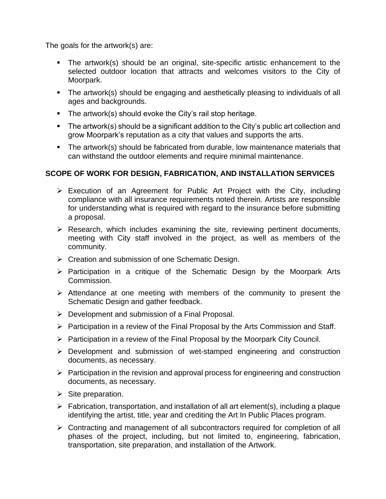The goals for the artwork(s) are:

- The artwork(s) should be an original, site-specific artistic enhancement to the selected outdoor location that attracts and welcomes visitors to the City of Moorpark.
- The artwork(s) should be engaging and aesthetically pleasing to individuals of all ages and backgrounds.
- The artwork(s) should evoke the City's rail stop heritage.
- The artwork(s) should be a significant addition to the City's public art collection and grow Moorpark's reputation as a city that values and supports the arts.
- The artwork(s) should be fabricated from durable, low maintenance materials that can withstand the outdoor elements and require minimal maintenance.

# **SCOPE OF WORK FOR DESIGN, FABRICATION, AND INSTALLATION SERVICES**

- ➢ Execution of an Agreement for Public Art Project with the City, including compliance with all insurance requirements noted therein. Artists are responsible for understanding what is required with regard to the insurance before submitting a proposal.
- ➢ Research, which includes examining the site, reviewing pertinent documents, meeting with City staff involved in the project, as well as members of the community.
- ➢ Creation and submission of one Schematic Design.
- ➢ Participation in a critique of the Schematic Design by the Moorpark Arts Commission.
- ➢ Attendance at one meeting with members of the community to present the Schematic Design and gather feedback.
- ➢ Development and submission of a Final Proposal.
- ➢ Participation in a review of the Final Proposal by the Arts Commission and Staff.
- ➢ Participation in a review of the Final Proposal by the Moorpark City Council.
- ➢ Development and submission of wet-stamped engineering and construction documents, as necessary.
- ➢ Participation in the revision and approval process for engineering and construction documents, as necessary.
- $\triangleright$  Site preparation.
- $\triangleright$  Fabrication, transportation, and installation of all art element(s), including a plaque identifying the artist, title, year and crediting the Art In Public Places program.
- ➢ Contracting and management of all subcontractors required for completion of all phases of the project, including, but not limited to, engineering, fabrication, transportation, site preparation, and installation of the Artwork.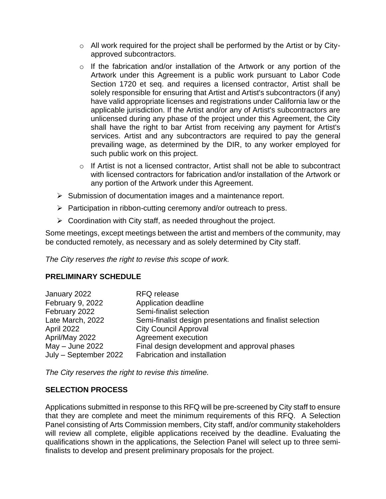- o All work required for the project shall be performed by the Artist or by Cityapproved subcontractors.
- o If the fabrication and/or installation of the Artwork or any portion of the Artwork under this Agreement is a public work pursuant to Labor Code Section 1720 et seq. and requires a licensed contractor, Artist shall be solely responsible for ensuring that Artist and Artist's subcontractors (if any) have valid appropriate licenses and registrations under California law or the applicable jurisdiction. If the Artist and/or any of Artist's subcontractors are unlicensed during any phase of the project under this Agreement, the City shall have the right to bar Artist from receiving any payment for Artist's services. Artist and any subcontractors are required to pay the general prevailing wage, as determined by the DIR, to any worker employed for such public work on this project.
- o If Artist is not a licensed contractor, Artist shall not be able to subcontract with licensed contractors for fabrication and/or installation of the Artwork or any portion of the Artwork under this Agreement.
- ➢ Submission of documentation images and a maintenance report.
- ➢ Participation in ribbon-cutting ceremony and/or outreach to press.
- $\triangleright$  Coordination with City staff, as needed throughout the project.

Some meetings, except meetings between the artist and members of the community, may be conducted remotely, as necessary and as solely determined by City staff.

*The City reserves the right to revise this scope of work.*

# **PRELIMINARY SCHEDULE**

| January 2022          | <b>RFQ</b> release                                        |
|-----------------------|-----------------------------------------------------------|
| February 9, 2022      | Application deadline                                      |
| February 2022         | Semi-finalist selection                                   |
| Late March, 2022      | Semi-finalist design presentations and finalist selection |
| April 2022            | <b>City Council Approval</b>                              |
| April/May 2022        | Agreement execution                                       |
| May - June 2022       | Final design development and approval phases              |
| July - September 2022 | Fabrication and installation                              |

*The City reserves the right to revise this timeline.*

#### **SELECTION PROCESS**

Applications submitted in response to this RFQ will be pre-screened by City staff to ensure that they are complete and meet the minimum requirements of this RFQ. A Selection Panel consisting of Arts Commission members, City staff, and/or community stakeholders will review all complete, eligible applications received by the deadline. Evaluating the qualifications shown in the applications, the Selection Panel will select up to three semifinalists to develop and present preliminary proposals for the project.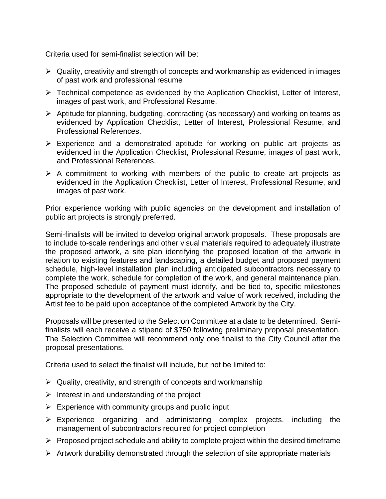Criteria used for semi-finalist selection will be:

- ➢ Quality, creativity and strength of concepts and workmanship as evidenced in images of past work and professional resume
- ➢ Technical competence as evidenced by the Application Checklist, Letter of Interest, images of past work, and Professional Resume.
- ➢ Aptitude for planning, budgeting, contracting (as necessary) and working on teams as evidenced by Application Checklist, Letter of Interest, Professional Resume, and Professional References.
- ➢ Experience and a demonstrated aptitude for working on public art projects as evidenced in the Application Checklist, Professional Resume, images of past work, and Professional References.
- $\triangleright$  A commitment to working with members of the public to create art projects as evidenced in the Application Checklist, Letter of Interest, Professional Resume, and images of past work.

Prior experience working with public agencies on the development and installation of public art projects is strongly preferred.

Semi-finalists will be invited to develop original artwork proposals. These proposals are to include to-scale renderings and other visual materials required to adequately illustrate the proposed artwork, a site plan identifying the proposed location of the artwork in relation to existing features and landscaping, a detailed budget and proposed payment schedule, high-level installation plan including anticipated subcontractors necessary to complete the work, schedule for completion of the work, and general maintenance plan. The proposed schedule of payment must identify, and be tied to, specific milestones appropriate to the development of the artwork and value of work received, including the Artist fee to be paid upon acceptance of the completed Artwork by the City.

Proposals will be presented to the Selection Committee at a date to be determined. Semifinalists will each receive a stipend of \$750 following preliminary proposal presentation. The Selection Committee will recommend only one finalist to the City Council after the proposal presentations.

Criteria used to select the finalist will include, but not be limited to:

- $\triangleright$  Quality, creativity, and strength of concepts and workmanship
- $\triangleright$  Interest in and understanding of the project
- $\triangleright$  Experience with community groups and public input
- ➢ Experience organizing and administering complex projects, including the management of subcontractors required for project completion
- $\triangleright$  Proposed project schedule and ability to complete project within the desired timeframe
- $\triangleright$  Artwork durability demonstrated through the selection of site appropriate materials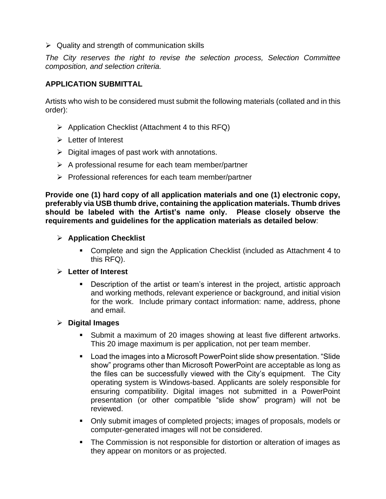$\triangleright$  Quality and strength of communication skills

*The City reserves the right to revise the selection process, Selection Committee composition, and selection criteria.*

#### **APPLICATION SUBMITTAL**

Artists who wish to be considered must submit the following materials (collated and in this order):

- $\triangleright$  Application Checklist (Attachment 4 to this RFQ)
- ➢ Letter of Interest
- $\triangleright$  Digital images of past work with annotations.
- $\triangleright$  A professional resume for each team member/partner
- ➢ Professional references for each team member/partner

**Provide one (1) hard copy of all application materials and one (1) electronic copy, preferably via USB thumb drive, containing the application materials. Thumb drives should be labeled with the Artist's name only. Please closely observe the requirements and guidelines for the application materials as detailed below**:

- ➢ **Application Checklist**
	- Complete and sign the Application Checklist (included as Attachment 4 to this RFQ).

#### ➢ **Letter of Interest**

■ Description of the artist or team's interest in the project, artistic approach and working methods, relevant experience or background, and initial vision for the work. Include primary contact information: name, address, phone and email.

#### ➢ **Digital Images**

- Submit a maximum of 20 images showing at least five different artworks. This 20 image maximum is per application, not per team member.
- Load the images into a Microsoft PowerPoint slide show presentation. "Slide show" programs other than Microsoft PowerPoint are acceptable as long as the files can be successfully viewed with the City's equipment. The City operating system is Windows-based. Applicants are solely responsible for ensuring compatibility. Digital images not submitted in a PowerPoint presentation (or other compatible "slide show" program) will not be reviewed.
- Only submit images of completed projects; images of proposals, models or computer-generated images will not be considered.
- The Commission is not responsible for distortion or alteration of images as they appear on monitors or as projected.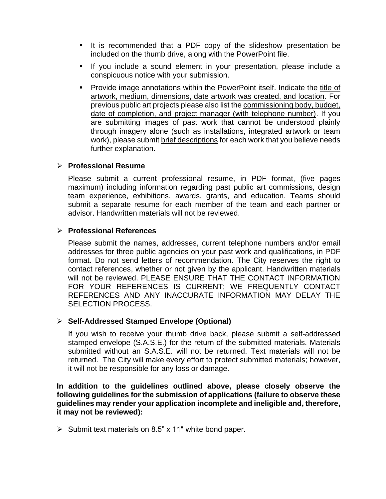- It is recommended that a PDF copy of the slideshow presentation be included on the thumb drive, along with the PowerPoint file.
- If you include a sound element in your presentation, please include a conspicuous notice with your submission.
- Provide image annotations within the PowerPoint itself. Indicate the title of artwork, medium, dimensions, date artwork was created, and location. For previous public art projects please also list the commissioning body, budget, date of completion, and project manager (with telephone number). If you are submitting images of past work that cannot be understood plainly through imagery alone (such as installations, integrated artwork or team work), please submit brief descriptions for each work that you believe needs further explanation.

# ➢ **Professional Resume**

Please submit a current professional resume, in PDF format, (five pages maximum) including information regarding past public art commissions, design team experience, exhibitions, awards, grants, and education. Teams should submit a separate resume for each member of the team and each partner or advisor. Handwritten materials will not be reviewed.

#### ➢ **Professional References**

Please submit the names, addresses, current telephone numbers and/or email addresses for three public agencies on your past work and qualifications, in PDF format. Do not send letters of recommendation. The City reserves the right to contact references, whether or not given by the applicant. Handwritten materials will not be reviewed. PLEASE ENSURE THAT THE CONTACT INFORMATION FOR YOUR REFERENCES IS CURRENT; WE FREQUENTLY CONTACT REFERENCES AND ANY INACCURATE INFORMATION MAY DELAY THE SELECTION PROCESS.

# ➢ **Self-Addressed Stamped Envelope (Optional)**

If you wish to receive your thumb drive back, please submit a self-addressed stamped envelope (S.A.S.E.) for the return of the submitted materials. Materials submitted without an S.A.S.E. will not be returned. Text materials will not be returned. The City will make every effort to protect submitted materials; however, it will not be responsible for any loss or damage.

**In addition to the guidelines outlined above, please closely observe the following guidelines for the submission of applications (failure to observe these guidelines may render your application incomplete and ineligible and, therefore, it may not be reviewed):**

 $\triangleright$  Submit text materials on 8.5" x 11" white bond paper.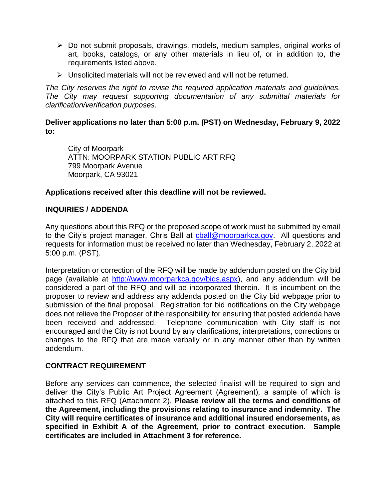- ➢ Do not submit proposals, drawings, models, medium samples, original works of art, books, catalogs, or any other materials in lieu of, or in addition to, the requirements listed above.
- ➢ Unsolicited materials will not be reviewed and will not be returned.

*The City reserves the right to revise the required application materials and guidelines. The City may request supporting documentation of any submittal materials for clarification/verification purposes.*

**Deliver applications no later than 5:00 p.m. (PST) on Wednesday, February 9, 2022 to:**

City of Moorpark ATTN: MOORPARK STATION PUBLIC ART RFQ 799 Moorpark Avenue Moorpark, CA 93021

#### **Applications received after this deadline will not be reviewed.**

#### **INQUIRIES / ADDENDA**

Any questions about this RFQ or the proposed scope of work must be submitted by email to the City's project manager, Chris Ball at chall@moorparkca.gov. All questions and requests for information must be received no later than Wednesday, February 2, 2022 at 5:00 p.m. (PST).

Interpretation or correction of the RFQ will be made by addendum posted on the City bid page (available at [http://www.moorparkca.gov/bids.aspx\)](http://www.moorparkca.gov/bids.aspx), and any addendum will be considered a part of the RFQ and will be incorporated therein. It is incumbent on the proposer to review and address any addenda posted on the City bid webpage prior to submission of the final proposal. Registration for bid notifications on the City webpage does not relieve the Proposer of the responsibility for ensuring that posted addenda have been received and addressed. Telephone communication with City staff is not encouraged and the City is not bound by any clarifications, interpretations, corrections or changes to the RFQ that are made verbally or in any manner other than by written addendum.

#### **CONTRACT REQUIREMENT**

Before any services can commence, the selected finalist will be required to sign and deliver the City's Public Art Project Agreement (Agreement), a sample of which is attached to this RFQ (Attachment 2). **Please review all the terms and conditions of the Agreement, including the provisions relating to insurance and indemnity. The City will require certificates of insurance and additional insured endorsements, as specified in Exhibit A of the Agreement, prior to contract execution. Sample certificates are included in Attachment 3 for reference.**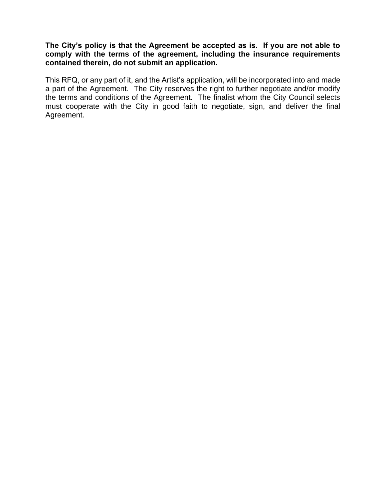**The City's policy is that the Agreement be accepted as is. If you are not able to comply with the terms of the agreement, including the insurance requirements contained therein, do not submit an application.**

This RFQ, or any part of it, and the Artist's application, will be incorporated into and made a part of the Agreement. The City reserves the right to further negotiate and/or modify the terms and conditions of the Agreement. The finalist whom the City Council selects must cooperate with the City in good faith to negotiate, sign, and deliver the final Agreement.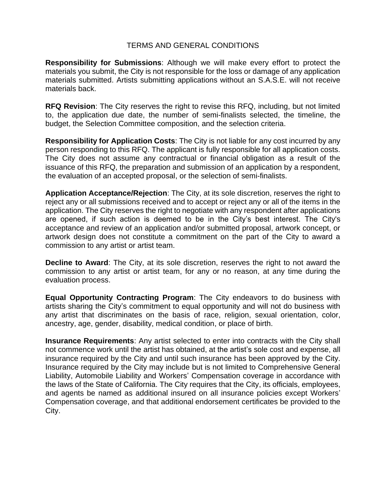## TERMS AND GENERAL CONDITIONS

**Responsibility for Submissions**: Although we will make every effort to protect the materials you submit, the City is not responsible for the loss or damage of any application materials submitted. Artists submitting applications without an S.A.S.E. will not receive materials back.

**RFQ Revision**: The City reserves the right to revise this RFQ, including, but not limited to, the application due date, the number of semi-finalists selected, the timeline, the budget, the Selection Committee composition, and the selection criteria.

**Responsibility for Application Costs**: The City is not liable for any cost incurred by any person responding to this RFQ. The applicant is fully responsible for all application costs. The City does not assume any contractual or financial obligation as a result of the issuance of this RFQ, the preparation and submission of an application by a respondent, the evaluation of an accepted proposal, or the selection of semi-finalists.

**Application Acceptance/Rejection**: The City, at its sole discretion, reserves the right to reject any or all submissions received and to accept or reject any or all of the items in the application. The City reserves the right to negotiate with any respondent after applications are opened, if such action is deemed to be in the City's best interest. The City's acceptance and review of an application and/or submitted proposal, artwork concept, or artwork design does not constitute a commitment on the part of the City to award a commission to any artist or artist team.

**Decline to Award**: The City, at its sole discretion, reserves the right to not award the commission to any artist or artist team, for any or no reason, at any time during the evaluation process.

**Equal Opportunity Contracting Program**: The City endeavors to do business with artists sharing the City's commitment to equal opportunity and will not do business with any artist that discriminates on the basis of race, religion, sexual orientation, color, ancestry, age, gender, disability, medical condition, or place of birth.

**Insurance Requirements**: Any artist selected to enter into contracts with the City shall not commence work until the artist has obtained, at the artist's sole cost and expense, all insurance required by the City and until such insurance has been approved by the City. Insurance required by the City may include but is not limited to Comprehensive General Liability, Automobile Liability and Workers' Compensation coverage in accordance with the laws of the State of California. The City requires that the City, its officials, employees, and agents be named as additional insured on all insurance policies except Workers' Compensation coverage, and that additional endorsement certificates be provided to the City.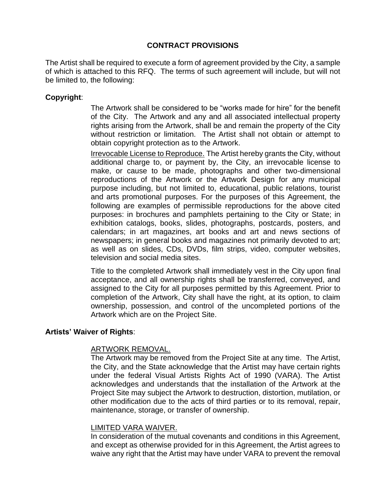# **CONTRACT PROVISIONS**

The Artist shall be required to execute a form of agreement provided by the City, a sample of which is attached to this RFQ. The terms of such agreement will include, but will not be limited to, the following:

## **Copyright**:

The Artwork shall be considered to be "works made for hire" for the benefit of the City. The Artwork and any and all associated intellectual property rights arising from the Artwork, shall be and remain the property of the City without restriction or limitation. The Artist shall not obtain or attempt to obtain copyright protection as to the Artwork.

Irrevocable License to Reproduce. The Artist hereby grants the City, without additional charge to, or payment by, the City, an irrevocable license to make, or cause to be made, photographs and other two-dimensional reproductions of the Artwork or the Artwork Design for any municipal purpose including, but not limited to, educational, public relations, tourist and arts promotional purposes. For the purposes of this Agreement, the following are examples of permissible reproductions for the above cited purposes: in brochures and pamphlets pertaining to the City or State; in exhibition catalogs, books, slides, photographs, postcards, posters, and calendars; in art magazines, art books and art and news sections of newspapers; in general books and magazines not primarily devoted to art; as well as on slides, CDs, DVDs, film strips, video, computer websites, television and social media sites.

Title to the completed Artwork shall immediately vest in the City upon final acceptance, and all ownership rights shall be transferred, conveyed, and assigned to the City for all purposes permitted by this Agreement. Prior to completion of the Artwork, City shall have the right, at its option, to claim ownership, possession, and control of the uncompleted portions of the Artwork which are on the Project Site.

#### **Artists' Waiver of Rights**:

#### ARTWORK REMOVAL.

The Artwork may be removed from the Project Site at any time. The Artist, the City, and the State acknowledge that the Artist may have certain rights under the federal Visual Artists Rights Act of 1990 (VARA). The Artist acknowledges and understands that the installation of the Artwork at the Project Site may subject the Artwork to destruction, distortion, mutilation, or other modification due to the acts of third parties or to its removal, repair, maintenance, storage, or transfer of ownership.

#### LIMITED VARA WAIVER.

In consideration of the mutual covenants and conditions in this Agreement, and except as otherwise provided for in this Agreement, the Artist agrees to waive any right that the Artist may have under VARA to prevent the removal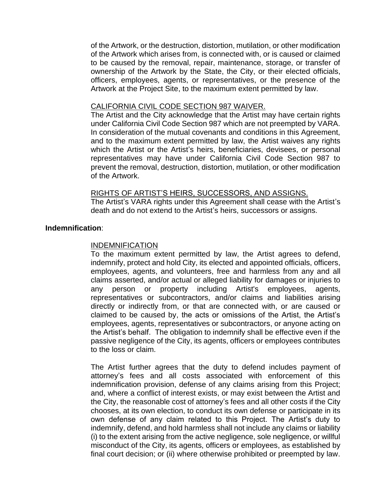of the Artwork, or the destruction, distortion, mutilation, or other modification of the Artwork which arises from, is connected with, or is caused or claimed to be caused by the removal, repair, maintenance, storage, or transfer of ownership of the Artwork by the State, the City, or their elected officials, officers, employees, agents, or representatives, or the presence of the Artwork at the Project Site, to the maximum extent permitted by law.

#### CALIFORNIA CIVIL CODE SECTION 987 WAIVER.

The Artist and the City acknowledge that the Artist may have certain rights under California Civil Code Section 987 which are not preempted by VARA. In consideration of the mutual covenants and conditions in this Agreement, and to the maximum extent permitted by law, the Artist waives any rights which the Artist or the Artist's heirs, beneficiaries, devisees, or personal representatives may have under California Civil Code Section 987 to prevent the removal, destruction, distortion, mutilation, or other modification of the Artwork.

#### RIGHTS OF ARTIST'S HEIRS, SUCCESSORS, AND ASSIGNS.

The Artist's VARA rights under this Agreement shall cease with the Artist's death and do not extend to the Artist's heirs, successors or assigns.

#### **Indemnification**:

#### INDEMNIFICATION

To the maximum extent permitted by law, the Artist agrees to defend, indemnify, protect and hold City, its elected and appointed officials, officers, employees, agents, and volunteers, free and harmless from any and all claims asserted, and/or actual or alleged liability for damages or injuries to any person or property including Artist's employees, agents, representatives or subcontractors, and/or claims and liabilities arising directly or indirectly from, or that are connected with, or are caused or claimed to be caused by, the acts or omissions of the Artist, the Artist's employees, agents, representatives or subcontractors, or anyone acting on the Artist's behalf. The obligation to indemnify shall be effective even if the passive negligence of the City, its agents, officers or employees contributes to the loss or claim.

The Artist further agrees that the duty to defend includes payment of attorney's fees and all costs associated with enforcement of this indemnification provision, defense of any claims arising from this Project; and, where a conflict of interest exists, or may exist between the Artist and the City, the reasonable cost of attorney's fees and all other costs if the City chooses, at its own election, to conduct its own defense or participate in its own defense of any claim related to this Project. The Artist's duty to indemnify, defend, and hold harmless shall not include any claims or liability (i) to the extent arising from the active negligence, sole negligence, or willful misconduct of the City, its agents, officers or employees, as established by final court decision; or (ii) where otherwise prohibited or preempted by law.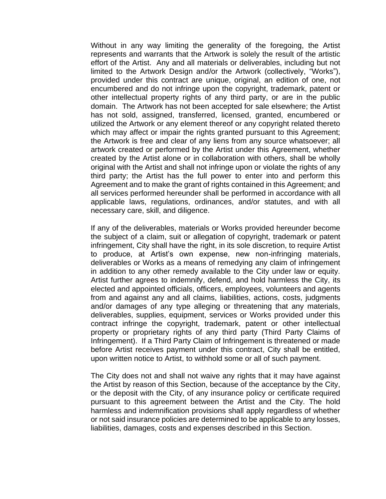Without in any way limiting the generality of the foregoing, the Artist represents and warrants that the Artwork is solely the result of the artistic effort of the Artist. Any and all materials or deliverables, including but not limited to the Artwork Design and/or the Artwork (collectively, "Works"), provided under this contract are unique, original, an edition of one, not encumbered and do not infringe upon the copyright, trademark, patent or other intellectual property rights of any third party, or are in the public domain. The Artwork has not been accepted for sale elsewhere; the Artist has not sold, assigned, transferred, licensed, granted, encumbered or utilized the Artwork or any element thereof or any copyright related thereto which may affect or impair the rights granted pursuant to this Agreement; the Artwork is free and clear of any liens from any source whatsoever; all artwork created or performed by the Artist under this Agreement, whether created by the Artist alone or in collaboration with others, shall be wholly original with the Artist and shall not infringe upon or violate the rights of any third party; the Artist has the full power to enter into and perform this Agreement and to make the grant of rights contained in this Agreement; and all services performed hereunder shall be performed in accordance with all applicable laws, regulations, ordinances, and/or statutes, and with all necessary care, skill, and diligence.

If any of the deliverables, materials or Works provided hereunder become the subject of a claim, suit or allegation of copyright, trademark or patent infringement, City shall have the right, in its sole discretion, to require Artist to produce, at Artist's own expense, new non-infringing materials, deliverables or Works as a means of remedying any claim of infringement in addition to any other remedy available to the City under law or equity. Artist further agrees to indemnify, defend, and hold harmless the City, its elected and appointed officials, officers, employees, volunteers and agents from and against any and all claims, liabilities, actions, costs, judgments and/or damages of any type alleging or threatening that any materials, deliverables, supplies, equipment, services or Works provided under this contract infringe the copyright, trademark, patent or other intellectual property or proprietary rights of any third party (Third Party Claims of Infringement). If a Third Party Claim of Infringement is threatened or made before Artist receives payment under this contract, City shall be entitled, upon written notice to Artist, to withhold some or all of such payment.

The City does not and shall not waive any rights that it may have against the Artist by reason of this Section, because of the acceptance by the City, or the deposit with the City, of any insurance policy or certificate required pursuant to this agreement between the Artist and the City. The hold harmless and indemnification provisions shall apply regardless of whether or not said insurance policies are determined to be applicable to any losses, liabilities, damages, costs and expenses described in this Section.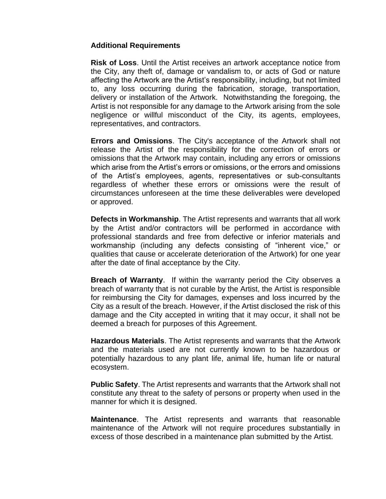#### **Additional Requirements**

**Risk of Loss**. Until the Artist receives an artwork acceptance notice from the City, any theft of, damage or vandalism to, or acts of God or nature affecting the Artwork are the Artist's responsibility, including, but not limited to, any loss occurring during the fabrication, storage, transportation, delivery or installation of the Artwork. Notwithstanding the foregoing, the Artist is not responsible for any damage to the Artwork arising from the sole negligence or willful misconduct of the City, its agents, employees, representatives, and contractors.

**Errors and Omissions**. The City's acceptance of the Artwork shall not release the Artist of the responsibility for the correction of errors or omissions that the Artwork may contain, including any errors or omissions which arise from the Artist's errors or omissions, or the errors and omissions of the Artist's employees, agents, representatives or sub-consultants regardless of whether these errors or omissions were the result of circumstances unforeseen at the time these deliverables were developed or approved.

**Defects in Workmanship**. The Artist represents and warrants that all work by the Artist and/or contractors will be performed in accordance with professional standards and free from defective or inferior materials and workmanship (including any defects consisting of "inherent vice," or qualities that cause or accelerate deterioration of the Artwork) for one year after the date of final acceptance by the City.

**Breach of Warranty**. If within the warranty period the City observes a breach of warranty that is not curable by the Artist, the Artist is responsible for reimbursing the City for damages, expenses and loss incurred by the City as a result of the breach. However, if the Artist disclosed the risk of this damage and the City accepted in writing that it may occur, it shall not be deemed a breach for purposes of this Agreement.

**Hazardous Materials**. The Artist represents and warrants that the Artwork and the materials used are not currently known to be hazardous or potentially hazardous to any plant life, animal life, human life or natural ecosystem.

**Public Safety**. The Artist represents and warrants that the Artwork shall not constitute any threat to the safety of persons or property when used in the manner for which it is designed.

**Maintenance**. The Artist represents and warrants that reasonable maintenance of the Artwork will not require procedures substantially in excess of those described in a maintenance plan submitted by the Artist.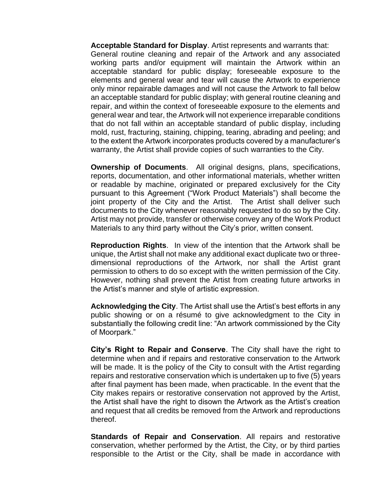**Acceptable Standard for Display**. Artist represents and warrants that: General routine cleaning and repair of the Artwork and any associated working parts and/or equipment will maintain the Artwork within an acceptable standard for public display; foreseeable exposure to the elements and general wear and tear will cause the Artwork to experience only minor repairable damages and will not cause the Artwork to fall below an acceptable standard for public display; with general routine cleaning and repair, and within the context of foreseeable exposure to the elements and general wear and tear, the Artwork will not experience irreparable conditions that do not fall within an acceptable standard of public display, including mold, rust, fracturing, staining, chipping, tearing, abrading and peeling; and to the extent the Artwork incorporates products covered by a manufacturer's warranty, the Artist shall provide copies of such warranties to the City.

**Ownership of Documents**. All original designs, plans, specifications, reports, documentation, and other informational materials, whether written or readable by machine, originated or prepared exclusively for the City pursuant to this Agreement ("Work Product Materials") shall become the joint property of the City and the Artist. The Artist shall deliver such documents to the City whenever reasonably requested to do so by the City. Artist may not provide, transfer or otherwise convey any of the Work Product Materials to any third party without the City's prior, written consent.

**Reproduction Rights**. In view of the intention that the Artwork shall be unique, the Artist shall not make any additional exact duplicate two or threedimensional reproductions of the Artwork, nor shall the Artist grant permission to others to do so except with the written permission of the City. However, nothing shall prevent the Artist from creating future artworks in the Artist's manner and style of artistic expression.

**Acknowledging the City**. The Artist shall use the Artist's best efforts in any public showing or on a résumé to give acknowledgment to the City in substantially the following credit line: "An artwork commissioned by the City of Moorpark."

**City's Right to Repair and Conserve**. The City shall have the right to determine when and if repairs and restorative conservation to the Artwork will be made. It is the policy of the City to consult with the Artist regarding repairs and restorative conservation which is undertaken up to five (5) years after final payment has been made, when practicable. In the event that the City makes repairs or restorative conservation not approved by the Artist, the Artist shall have the right to disown the Artwork as the Artist's creation and request that all credits be removed from the Artwork and reproductions thereof.

**Standards of Repair and Conservation**. All repairs and restorative conservation, whether performed by the Artist, the City, or by third parties responsible to the Artist or the City, shall be made in accordance with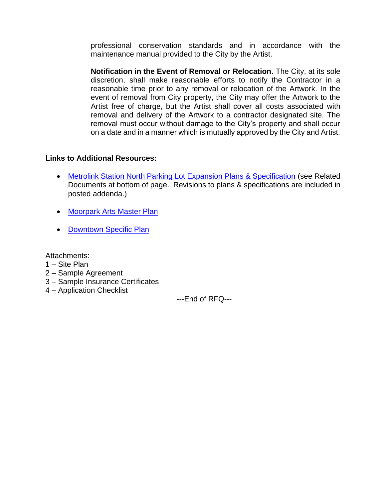professional conservation standards and in accordance with the maintenance manual provided to the City by the Artist.

**Notification in the Event of Removal or Relocation**. The City, at its sole discretion, shall make reasonable efforts to notify the Contractor in a reasonable time prior to any removal or relocation of the Artwork. In the event of removal from City property, the City may offer the Artwork to the Artist free of charge, but the Artist shall cover all costs associated with removal and delivery of the Artwork to a contractor designated site. The removal must occur without damage to the City's property and shall occur on a date and in a manner which is mutually approved by the City and Artist.

#### **Links to Additional Resources:**

- [Metrolink Station North Parking Lot Expansion Plans & Specification](http://www.moorparkca.gov/bids.aspx?bidID=90) (see Related Documents at bottom of page. Revisions to plans & specifications are included in posted addenda.)
- [Moorpark Arts Master Plan](https://www.moorparkca.gov/DocumentCenter/View/12391/Moorpark-Arts-Master-Plan?bidId=)
- [Downtown Specific Plan](https://www.moorparkca.gov/DocumentCenter/View/10902/Downtown-Specific-Plan?bidId=)

Attachments:

- 1 Site Plan
- 2 Sample Agreement
- 3 Sample Insurance Certificates
- 4 Application Checklist

---End of RFQ---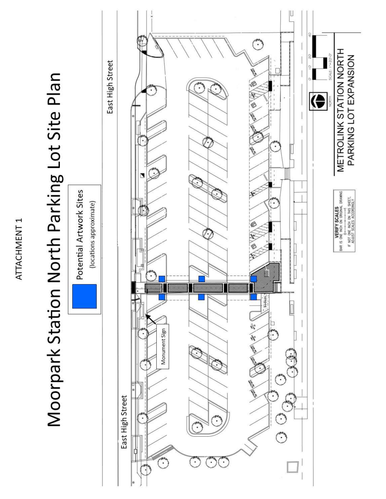ATTACHMENT<sub>1</sub>

# Moorpark Station North Parking Lot Site Plan

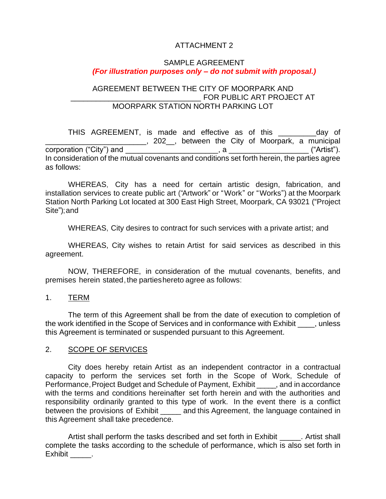# ATTACHMENT 2

## SAMPLE AGREEMENT *(For illustration purposes only – do not submit with proposal.)*

#### AGREEMENT BETWEEN THE CITY OF MOORPARK AND FOR PUBLIC ART PROJECT AT MOORPARK STATION NORTH PARKING LOT

THIS AGREEMENT, is made and effective as of this entitled average of \_\_\_\_\_\_\_\_\_\_\_\_\_\_\_\_\_\_\_\_\_\_\_\_\_\_\_\_, 202\_\_\_, between the City of Moorpark, a municipal corporation ("City") and (202\_\_, between the City of Moorpark, a municipal corporation ("City") and \_\_\_\_\_\_\_\_\_\_\_\_\_\_\_\_\_\_\_\_\_\_, a \_\_\_\_\_\_\_\_\_\_\_\_\_\_\_\_\_\_\_ ("Artist"). In consideration of the mutual covenants and conditions set forth herein, the parties agree as follows:

WHEREAS, City has a need for certain artistic design, fabrication, and installation services to create public art ("Artwork" or "Work" or "Works") at the Moorpark Station North Parking Lot located at 300 East High Street, Moorpark, CA 93021 ("Project Site");and

WHEREAS, City desires to contract for such services with a private artist; and

WHEREAS, City wishes to retain Artist for said services as described in this agreement.

NOW, THEREFORE, in consideration of the mutual covenants, benefits, and premises herein stated, the partieshereto agree as follows:

1. TERM

The term of this Agreement shall be from the date of execution to completion of the work identified in the Scope of Services and in conformance with Exhibit  $\qquad$ , unless this Agreement is terminated or suspended pursuant to this Agreement.

#### 2. SCOPE OF SERVICES

City does hereby retain Artist as an independent contractor in a contractual capacity to perform the services set forth in the Scope of Work, Schedule of Performance, Project Budget and Schedule of Payment, Exhibit \_\_\_\_\_, and in accordance with the terms and conditions hereinafter set forth herein and with the authorities and responsibility ordinarily granted to this type of work. In the event there is a conflict between the provisions of Exhibit and this Agreement, the language contained in this Agreement shall take precedence.

Artist shall perform the tasks described and set forth in Exhibit \_\_\_\_\_\_. Artist shall complete the tasks according to the schedule of performance, which is also set forth in Exhibit .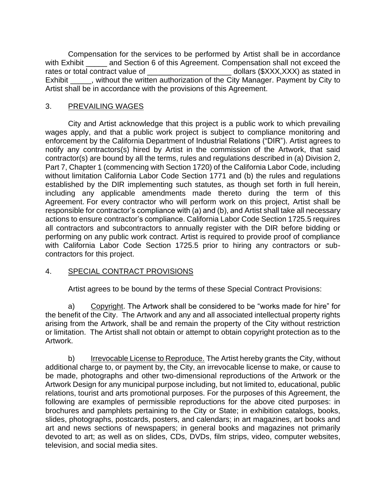Compensation for the services to be performed by Artist shall be in accordance with Exhibit and Section 6 of this Agreement. Compensation shall not exceed the rates or total contract value of \_\_\_\_\_\_\_\_\_\_\_\_\_\_\_\_\_\_\_\_ dollars (\$XXX,XXX) as stated in Exhibit Fig. without the written authorization of the City Manager. Payment by City to Artist shall be in accordance with the provisions of this Agreement.

# 3. PREVAILING WAGES

City and Artist acknowledge that this project is a public work to which prevailing wages apply, and that a public work project is subject to compliance monitoring and enforcement by the California Department of Industrial Relations ("DIR"). Artist agrees to notify any contractors(s) hired by Artist in the commission of the Artwork, that said contractor(s) are bound by all the terms, rules and regulations described in (a) Division 2, Part 7, Chapter 1 (commencing with Section 1720) of the California Labor Code, including without limitation California Labor Code Section 1771 and (b) the rules and regulations established by the DIR implementing such statutes, as though set forth in full herein, including any applicable amendments made thereto during the term of this Agreement. For every contractor who will perform work on this project, Artist shall be responsible for contractor's compliance with (a) and (b), and Artist shall take all necessary actions to ensure contractor's compliance. California Labor Code Section 1725.5 requires all contractors and subcontractors to annually register with the DIR before bidding or performing on any public work contract. Artist is required to provide proof of compliance with California Labor Code Section 1725.5 prior to hiring any contractors or subcontractors for this project.

#### 4. SPECIAL CONTRACT PROVISIONS

Artist agrees to be bound by the terms of these Special Contract Provisions:

a) Copyright. The Artwork shall be considered to be "works made for hire" for the benefit of the City. The Artwork and any and all associated intellectual property rights arising from the Artwork, shall be and remain the property of the City without restriction or limitation. The Artist shall not obtain or attempt to obtain copyright protection as to the Artwork.

b) Irrevocable License to Reproduce. The Artist hereby grants the City, without additional charge to, or payment by, the City, an irrevocable license to make, or cause to be made, photographs and other two-dimensional reproductions of the Artwork or the Artwork Design for any municipal purpose including, but not limited to, educational, public relations, tourist and arts promotional purposes. For the purposes of this Agreement, the following are examples of permissible reproductions for the above cited purposes: in brochures and pamphlets pertaining to the City or State; in exhibition catalogs, books, slides, photographs, postcards, posters, and calendars; in art magazines, art books and art and news sections of newspapers; in general books and magazines not primarily devoted to art; as well as on slides, CDs, DVDs, film strips, video, computer websites, television, and social media sites.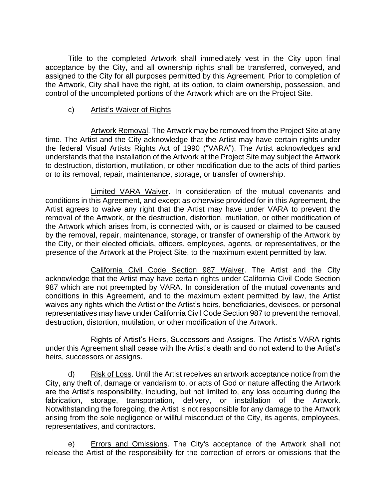Title to the completed Artwork shall immediately vest in the City upon final acceptance by the City, and all ownership rights shall be transferred, conveyed, and assigned to the City for all purposes permitted by this Agreement. Prior to completion of the Artwork, City shall have the right, at its option, to claim ownership, possession, and control of the uncompleted portions of the Artwork which are on the Project Site.

## c) Artist's Waiver of Rights

Artwork Removal. The Artwork may be removed from the Project Site at any time. The Artist and the City acknowledge that the Artist may have certain rights under the federal Visual Artists Rights Act of 1990 ("VARA"). The Artist acknowledges and understands that the installation of the Artwork at the Project Site may subject the Artwork to destruction, distortion, mutilation, or other modification due to the acts of third parties or to its removal, repair, maintenance, storage, or transfer of ownership.

Limited VARA Waiver. In consideration of the mutual covenants and conditions in this Agreement, and except as otherwise provided for in this Agreement, the Artist agrees to waive any right that the Artist may have under VARA to prevent the removal of the Artwork, or the destruction, distortion, mutilation, or other modification of the Artwork which arises from, is connected with, or is caused or claimed to be caused by the removal, repair, maintenance, storage, or transfer of ownership of the Artwork by the City, or their elected officials, officers, employees, agents, or representatives, or the presence of the Artwork at the Project Site, to the maximum extent permitted by law.

California Civil Code Section 987 Waiver. The Artist and the City acknowledge that the Artist may have certain rights under California Civil Code Section 987 which are not preempted by VARA. In consideration of the mutual covenants and conditions in this Agreement, and to the maximum extent permitted by law, the Artist waives any rights which the Artist or the Artist's heirs, beneficiaries, devisees, or personal representatives may have under California Civil Code Section 987 to prevent the removal, destruction, distortion, mutilation, or other modification of the Artwork.

Rights of Artist's Heirs, Successors and Assigns. The Artist's VARA rights under this Agreement shall cease with the Artist's death and do not extend to the Artist's heirs, successors or assigns.

d) Risk of Loss. Until the Artist receives an artwork acceptance notice from the City, any theft of, damage or vandalism to, or acts of God or nature affecting the Artwork are the Artist's responsibility, including, but not limited to, any loss occurring during the fabrication, storage, transportation, delivery, or installation of the Artwork. Notwithstanding the foregoing, the Artist is not responsible for any damage to the Artwork arising from the sole negligence or willful misconduct of the City, its agents, employees, representatives, and contractors.

e) Errors and Omissions. The City's acceptance of the Artwork shall not release the Artist of the responsibility for the correction of errors or omissions that the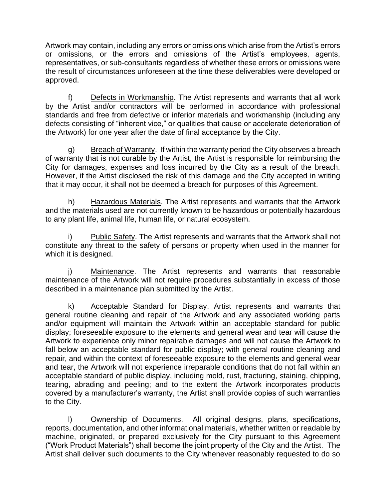Artwork may contain, including any errors or omissions which arise from the Artist's errors or omissions, or the errors and omissions of the Artist's employees, agents, representatives, or sub-consultants regardless of whether these errors or omissions were the result of circumstances unforeseen at the time these deliverables were developed or approved.

f) Defects in Workmanship. The Artist represents and warrants that all work by the Artist and/or contractors will be performed in accordance with professional standards and free from defective or inferior materials and workmanship (including any defects consisting of "inherent vice," or qualities that cause or accelerate deterioration of the Artwork) for one year after the date of final acceptance by the City.

g) Breach of Warranty. If within the warranty period the City observes a breach of warranty that is not curable by the Artist, the Artist is responsible for reimbursing the City for damages, expenses and loss incurred by the City as a result of the breach. However, if the Artist disclosed the risk of this damage and the City accepted in writing that it may occur, it shall not be deemed a breach for purposes of this Agreement.

h) Hazardous Materials. The Artist represents and warrants that the Artwork and the materials used are not currently known to be hazardous or potentially hazardous to any plant life, animal life, human life, or natural ecosystem.

i) Public Safety. The Artist represents and warrants that the Artwork shall not constitute any threat to the safety of persons or property when used in the manner for which it is designed.

j) Maintenance. The Artist represents and warrants that reasonable maintenance of the Artwork will not require procedures substantially in excess of those described in a maintenance plan submitted by the Artist.

k) Acceptable Standard for Display. Artist represents and warrants that general routine cleaning and repair of the Artwork and any associated working parts and/or equipment will maintain the Artwork within an acceptable standard for public display; foreseeable exposure to the elements and general wear and tear will cause the Artwork to experience only minor repairable damages and will not cause the Artwork to fall below an acceptable standard for public display; with general routine cleaning and repair, and within the context of foreseeable exposure to the elements and general wear and tear, the Artwork will not experience irreparable conditions that do not fall within an acceptable standard of public display, including mold, rust, fracturing, staining, chipping, tearing, abrading and peeling; and to the extent the Artwork incorporates products covered by a manufacturer's warranty, the Artist shall provide copies of such warranties to the City.

l) Ownership of Documents. All original designs, plans, specifications, reports, documentation, and other informational materials, whether written or readable by machine, originated, or prepared exclusively for the City pursuant to this Agreement ("Work Product Materials") shall become the joint property of the City and the Artist. The Artist shall deliver such documents to the City whenever reasonably requested to do so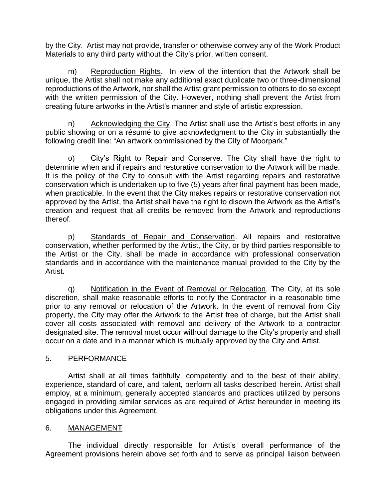by the City. Artist may not provide, transfer or otherwise convey any of the Work Product Materials to any third party without the City's prior, written consent.

m) Reproduction Rights. In view of the intention that the Artwork shall be unique, the Artist shall not make any additional exact duplicate two or three-dimensional reproductions of the Artwork, nor shall the Artist grant permission to others to do so except with the written permission of the City. However, nothing shall prevent the Artist from creating future artworks in the Artist's manner and style of artistic expression.

n) Acknowledging the City. The Artist shall use the Artist's best efforts in any public showing or on a résumé to give acknowledgment to the City in substantially the following credit line: "An artwork commissioned by the City of Moorpark."

o) City's Right to Repair and Conserve. The City shall have the right to determine when and if repairs and restorative conservation to the Artwork will be made. It is the policy of the City to consult with the Artist regarding repairs and restorative conservation which is undertaken up to five (5) years after final payment has been made, when practicable. In the event that the City makes repairs or restorative conservation not approved by the Artist, the Artist shall have the right to disown the Artwork as the Artist's creation and request that all credits be removed from the Artwork and reproductions thereof.

p) Standards of Repair and Conservation. All repairs and restorative conservation, whether performed by the Artist, the City, or by third parties responsible to the Artist or the City, shall be made in accordance with professional conservation standards and in accordance with the maintenance manual provided to the City by the Artist.

q) Notification in the Event of Removal or Relocation. The City, at its sole discretion, shall make reasonable efforts to notify the Contractor in a reasonable time prior to any removal or relocation of the Artwork. In the event of removal from City property, the City may offer the Artwork to the Artist free of charge, but the Artist shall cover all costs associated with removal and delivery of the Artwork to a contractor designated site. The removal must occur without damage to the City's property and shall occur on a date and in a manner which is mutually approved by the City and Artist.

# 5. PERFORMANCE

Artist shall at all times faithfully, competently and to the best of their ability, experience, standard of care, and talent, perform all tasks described herein. Artist shall employ, at a minimum, generally accepted standards and practices utilized by persons engaged in providing similar services as are required of Artist hereunder in meeting its obligations under this Agreement.

# 6. MANAGEMENT

The individual directly responsible for Artist's overall performance of the Agreement provisions herein above set forth and to serve as principal liaison between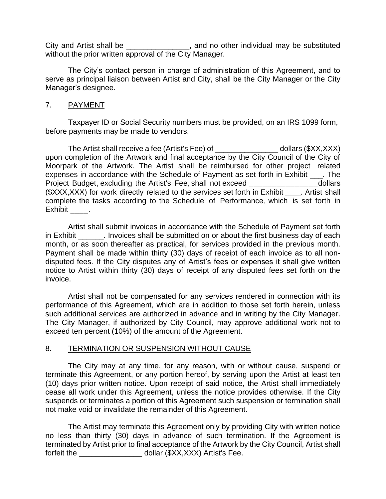City and Artist shall be example and no other individual may be substituted without the prior written approval of the City Manager.

The City's contact person in charge of administration of this Agreement, and to serve as principal liaison between Artist and City, shall be the City Manager or the City Manager's designee.

#### 7. PAYMENT

Taxpayer ID or Social Security numbers must be provided, on an IRS 1099 form, before payments may be made to vendors.

The Artist shall receive a fee (Artist's Fee) of \_\_\_\_\_\_\_\_\_\_\_\_\_\_\_ dollars (\$XX,XXX) upon completion of the Artwork and final acceptance by the City Council of the City of Moorpark of the Artwork. The Artist shall be reimbursed for other project related expenses in accordance with the Schedule of Payment as set forth in Exhibit \_\_\_. The Project Budget, excluding the Artist's Fee, shall not exceed \_\_\_\_\_\_\_\_\_\_\_\_\_\_\_dollars ( $\frac{1}{2}$ XXX,XXX) for work directly related to the services set forth in Exhibit . Artist shall complete the tasks according to the Schedule of Performance, which is set forth in Exhibit .

Artist shall submit invoices in accordance with the Schedule of Payment set forth in Exhibit **Exhibit** Finvoices shall be submitted on or about the first business day of each month, or as soon thereafter as practical, for services provided in the previous month. Payment shall be made within thirty (30) days of receipt of each invoice as to all nondisputed fees. If the City disputes any of Artist's fees or expenses it shall give written notice to Artist within thirty (30) days of receipt of any disputed fees set forth on the invoice.

Artist shall not be compensated for any services rendered in connection with its performance of this Agreement, which are in addition to those set forth herein, unless such additional services are authorized in advance and in writing by the City Manager. The City Manager, if authorized by City Council, may approve additional work not to exceed ten percent (10%) of the amount of the Agreement.

#### 8. TERMINATION OR SUSPENSION WITHOUT CAUSE

The City may at any time, for any reason, with or without cause, suspend or terminate this Agreement, or any portion hereof, by serving upon the Artist at least ten (10) days prior written notice. Upon receipt of said notice, the Artist shall immediately cease all work under this Agreement, unless the notice provides otherwise. If the City suspends or terminates a portion of this Agreement such suspension or termination shall not make void or invalidate the remainder of this Agreement.

The Artist may terminate this Agreement only by providing City with written notice no less than thirty (30) days in advance of such termination. If the Agreement is terminated by Artist prior to final acceptance of the Artwork by the City Council, Artist shall forfeit the \_\_\_\_\_\_\_\_\_\_\_\_\_\_\_ dollar (\$XX,XXX) Artist's Fee.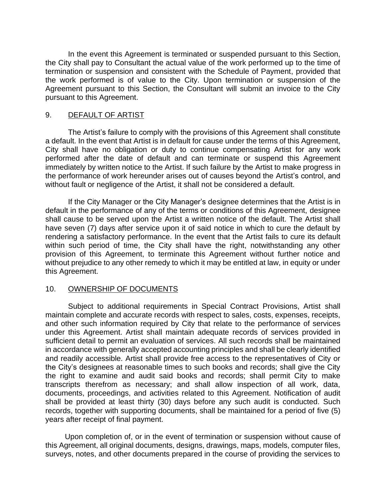In the event this Agreement is terminated or suspended pursuant to this Section, the City shall pay to Consultant the actual value of the work performed up to the time of termination or suspension and consistent with the Schedule of Payment, provided that the work performed is of value to the City. Upon termination or suspension of the Agreement pursuant to this Section, the Consultant will submit an invoice to the City pursuant to this Agreement.

#### 9. DEFAULT OF ARTIST

The Artist's failure to comply with the provisions of this Agreement shall constitute a default. In the event that Artist is in default for cause under the terms of this Agreement, City shall have no obligation or duty to continue compensating Artist for any work performed after the date of default and can terminate or suspend this Agreement immediately by written notice to the Artist. If such failure by the Artist to make progress in the performance of work hereunder arises out of causes beyond the Artist's control, and without fault or negligence of the Artist, it shall not be considered a default.

If the City Manager or the City Manager's designee determines that the Artist is in default in the performance of any of the terms or conditions of this Agreement, designee shall cause to be served upon the Artist a written notice of the default. The Artist shall have seven (7) days after service upon it of said notice in which to cure the default by rendering a satisfactory performance. In the event that the Artist fails to cure its default within such period of time, the City shall have the right, notwithstanding any other provision of this Agreement, to terminate this Agreement without further notice and without prejudice to any other remedy to which it may be entitled at law, in equity or under this Agreement.

#### 10. OWNERSHIP OF DOCUMENTS

Subject to additional requirements in Special Contract Provisions, Artist shall maintain complete and accurate records with respect to sales, costs, expenses, receipts, and other such information required by City that relate to the performance of services under this Agreement. Artist shall maintain adequate records of services provided in sufficient detail to permit an evaluation of services. All such records shall be maintained in accordance with generally accepted accounting principles and shall be clearly identified and readily accessible. Artist shall provide free access to the representatives of City or the City's designees at reasonable times to such books and records; shall give the City the right to examine and audit said books and records; shall permit City to make transcripts therefrom as necessary; and shall allow inspection of all work, data, documents, proceedings, and activities related to this Agreement. Notification of audit shall be provided at least thirty (30) days before any such audit is conducted. Such records, together with supporting documents, shall be maintained for a period of five (5) years after receipt of final payment.

Upon completion of, or in the event of termination or suspension without cause of this Agreement, all original documents, designs, drawings, maps, models, computer files, surveys, notes, and other documents prepared in the course of providing the services to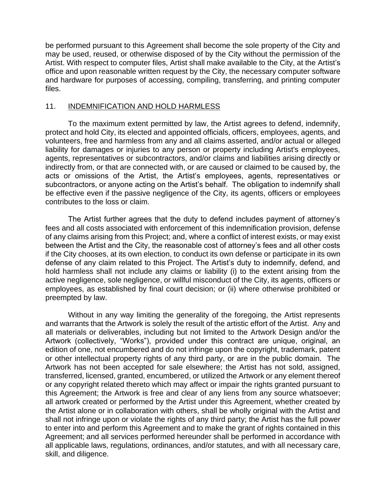be performed pursuant to this Agreement shall become the sole property of the City and may be used, reused, or otherwise disposed of by the City without the permission of the Artist. With respect to computer files, Artist shall make available to the City, at the Artist's office and upon reasonable written request by the City, the necessary computer software and hardware for purposes of accessing, compiling, transferring, and printing computer files.

#### 11. INDEMNIFICATION AND HOLD HARMLESS

To the maximum extent permitted by law, the Artist agrees to defend, indemnify, protect and hold City, its elected and appointed officials, officers, employees, agents, and volunteers, free and harmless from any and all claims asserted, and/or actual or alleged liability for damages or injuries to any person or property including Artist's employees, agents, representatives or subcontractors, and/or claims and liabilities arising directly or indirectly from, or that are connected with, or are caused or claimed to be caused by, the acts or omissions of the Artist, the Artist's employees, agents, representatives or subcontractors, or anyone acting on the Artist's behalf. The obligation to indemnify shall be effective even if the passive negligence of the City, its agents, officers or employees contributes to the loss or claim.

The Artist further agrees that the duty to defend includes payment of attorney's fees and all costs associated with enforcement of this indemnification provision, defense of any claims arising from this Project; and, where a conflict of interest exists, or may exist between the Artist and the City, the reasonable cost of attorney's fees and all other costs if the City chooses, at its own election, to conduct its own defense or participate in its own defense of any claim related to this Project. The Artist's duty to indemnify, defend, and hold harmless shall not include any claims or liability (i) to the extent arising from the active negligence, sole negligence, or willful misconduct of the City, its agents, officers or employees, as established by final court decision; or (ii) where otherwise prohibited or preempted by law.

Without in any way limiting the generality of the foregoing, the Artist represents and warrants that the Artwork is solely the result of the artistic effort of the Artist. Any and all materials or deliverables, including but not limited to the Artwork Design and/or the Artwork (collectively, "Works"), provided under this contract are unique, original, an edition of one, not encumbered and do not infringe upon the copyright, trademark, patent or other intellectual property rights of any third party, or are in the public domain. The Artwork has not been accepted for sale elsewhere; the Artist has not sold, assigned, transferred, licensed, granted, encumbered, or utilized the Artwork or any element thereof or any copyright related thereto which may affect or impair the rights granted pursuant to this Agreement; the Artwork is free and clear of any liens from any source whatsoever; all artwork created or performed by the Artist under this Agreement, whether created by the Artist alone or in collaboration with others, shall be wholly original with the Artist and shall not infringe upon or violate the rights of any third party; the Artist has the full power to enter into and perform this Agreement and to make the grant of rights contained in this Agreement; and all services performed hereunder shall be performed in accordance with all applicable laws, regulations, ordinances, and/or statutes, and with all necessary care, skill, and diligence.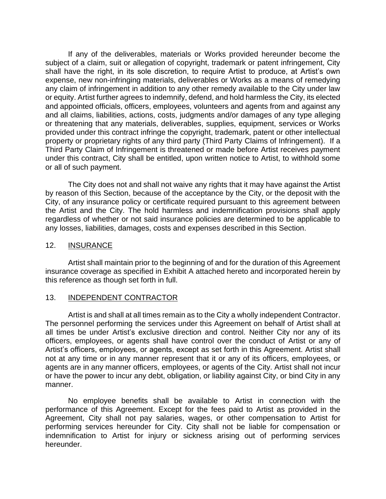If any of the deliverables, materials or Works provided hereunder become the subject of a claim, suit or allegation of copyright, trademark or patent infringement, City shall have the right, in its sole discretion, to require Artist to produce, at Artist's own expense, new non-infringing materials, deliverables or Works as a means of remedying any claim of infringement in addition to any other remedy available to the City under law or equity. Artist further agrees to indemnify, defend, and hold harmless the City, its elected and appointed officials, officers, employees, volunteers and agents from and against any and all claims, liabilities, actions, costs, judgments and/or damages of any type alleging or threatening that any materials, deliverables, supplies, equipment, services or Works provided under this contract infringe the copyright, trademark, patent or other intellectual property or proprietary rights of any third party (Third Party Claims of Infringement). If a Third Party Claim of Infringement is threatened or made before Artist receives payment under this contract, City shall be entitled, upon written notice to Artist, to withhold some or all of such payment.

The City does not and shall not waive any rights that it may have against the Artist by reason of this Section, because of the acceptance by the City, or the deposit with the City, of any insurance policy or certificate required pursuant to this agreement between the Artist and the City. The hold harmless and indemnification provisions shall apply regardless of whether or not said insurance policies are determined to be applicable to any losses, liabilities, damages, costs and expenses described in this Section.

#### 12. INSURANCE

Artist shall maintain prior to the beginning of and for the duration of this Agreement insurance coverage as specified in Exhibit A attached hereto and incorporated herein by this reference as though set forth in full.

#### 13. INDEPENDENT CONTRACTOR

Artist is and shall at all times remain as to the City a wholly independent Contractor. The personnel performing the services under this Agreement on behalf of Artist shall at all times be under Artist's exclusive direction and control. Neither City nor any of its officers, employees, or agents shall have control over the conduct of Artist or any of Artist's officers, employees, or agents, except as set forth in this Agreement. Artist shall not at any time or in any manner represent that it or any of its officers, employees, or agents are in any manner officers, employees, or agents of the City. Artist shall not incur or have the power to incur any debt, obligation, or liability against City, or bind City in any manner.

No employee benefits shall be available to Artist in connection with the performance of this Agreement. Except for the fees paid to Artist as provided in the Agreement, City shall not pay salaries, wages, or other compensation to Artist for performing services hereunder for City. City shall not be liable for compensation or indemnification to Artist for injury or sickness arising out of performing services hereunder.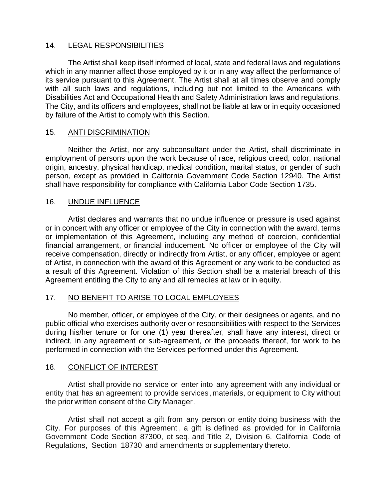# 14. LEGAL RESPONSIBILITIES

The Artist shall keep itself informed of local, state and federal laws and regulations which in any manner affect those employed by it or in any way affect the performance of its service pursuant to this Agreement. The Artist shall at all times observe and comply with all such laws and regulations, including but not limited to the Americans with Disabilities Act and Occupational Health and Safety Administration laws and regulations. The City, and its officers and employees, shall not be liable at law or in equity occasioned by failure of the Artist to comply with this Section.

# 15. ANTI DISCRIMINATION

Neither the Artist, nor any subconsultant under the Artist, shall discriminate in employment of persons upon the work because of race, religious creed, color, national origin, ancestry, physical handicap, medical condition, marital status, or gender of such person, except as provided in California Government Code Section 12940. The Artist shall have responsibility for compliance with California Labor Code Section 1735.

# 16. UNDUE INFLUENCE

Artist declares and warrants that no undue influence or pressure is used against or in concert with any officer or employee of the City in connection with the award, terms or implementation of this Agreement, including any method of coercion, confidential financial arrangement, or financial inducement. No officer or employee of the City will receive compensation, directly or indirectly from Artist, or any officer, employee or agent of Artist, in connection with the award of this Agreement or any work to be conducted as a result of this Agreement. Violation of this Section shall be a material breach of this Agreement entitling the City to any and all remedies at law or in equity.

#### 17. NO BENEFIT TO ARISE TO LOCAL EMPLOYEES

No member, officer, or employee of the City, or their designees or agents, and no public official who exercises authority over or responsibilities with respect to the Services during his/her tenure or for one (1) year thereafter, shall have any interest, direct or indirect, in any agreement or sub-agreement, or the proceeds thereof, for work to be performed in connection with the Services performed under this Agreement.

#### 18. CONFLICT OF INTEREST

Artist shall provide no service or enter into any agreement with any individual or entity that has an agreement to provide services, materials, or equipment to City without the prior written consent of the City Manager.

Artist shall not accept a gift from any person or entity doing business with the City. For purposes of this Agreement , a gift is defined as provided for in California Government Code Section 87300, et seq. and Title 2, Division 6, California Code of Regulations, Section 18730 and amendments or supplementary thereto.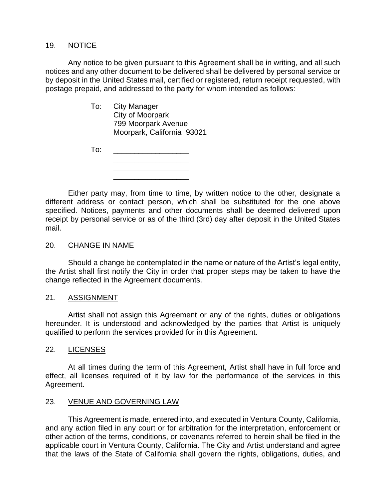#### 19. NOTICE

Any notice to be given pursuant to this Agreement shall be in writing, and all such notices and any other document to be delivered shall be delivered by personal service or by deposit in the United States mail, certified or registered, return receipt requested, with postage prepaid, and addressed to the party for whom intended as follows:

> To: City Manager City of Moorpark 799 Moorpark Avenue Moorpark, California 93021

| To: |  |  |
|-----|--|--|
|     |  |  |
|     |  |  |
|     |  |  |
|     |  |  |

Either party may, from time to time, by written notice to the other, designate a different address or contact person, which shall be substituted for the one above specified. Notices, payments and other documents shall be deemed delivered upon receipt by personal service or as of the third (3rd) day after deposit in the United States mail.

#### 20. CHANGE IN NAME

Should a change be contemplated in the name or nature of the Artist's legal entity, the Artist shall first notify the City in order that proper steps may be taken to have the change reflected in the Agreement documents.

#### 21. ASSIGNMENT

Artist shall not assign this Agreement or any of the rights, duties or obligations hereunder. It is understood and acknowledged by the parties that Artist is uniquely qualified to perform the services provided for in this Agreement.

#### 22. LICENSES

At all times during the term of this Agreement, Artist shall have in full force and effect, all licenses required of it by law for the performance of the services in this Agreement.

#### 23. VENUE AND GOVERNING LAW

This Agreement is made, entered into, and executed in Ventura County, California, and any action filed in any court or for arbitration for the interpretation, enforcement or other action of the terms, conditions, or covenants referred to herein shall be filed in the applicable court in Ventura County, California. The City and Artist understand and agree that the laws of the State of California shall govern the rights, obligations, duties, and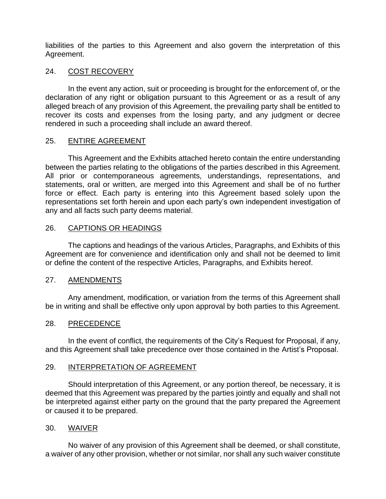liabilities of the parties to this Agreement and also govern the interpretation of this Agreement.

# 24. COST RECOVERY

In the event any action, suit or proceeding is brought for the enforcement of, or the declaration of any right or obligation pursuant to this Agreement or as a result of any alleged breach of any provision of this Agreement, the prevailing party shall be entitled to recover its costs and expenses from the losing party, and any judgment or decree rendered in such a proceeding shall include an award thereof.

# 25. ENTIRE AGREEMENT

This Agreement and the Exhibits attached hereto contain the entire understanding between the parties relating to the obligations of the parties described in this Agreement. All prior or contemporaneous agreements, understandings, representations, and statements, oral or written, are merged into this Agreement and shall be of no further force or effect. Each party is entering into this Agreement based solely upon the representations set forth herein and upon each party's own independent investigation of any and all facts such party deems material.

# 26. CAPTIONS OR HEADINGS

The captions and headings of the various Articles, Paragraphs, and Exhibits of this Agreement are for convenience and identification only and shall not be deemed to limit or define the content of the respective Articles, Paragraphs, and Exhibits hereof.

#### 27. AMENDMENTS

Any amendment, modification, or variation from the terms of this Agreement shall be in writing and shall be effective only upon approval by both parties to this Agreement.

#### 28. PRECEDENCE

In the event of conflict, the requirements of the City's Request for Proposal, if any, and this Agreement shall take precedence over those contained in the Artist's Proposal.

#### 29. INTERPRETATION OF AGREEMENT

Should interpretation of this Agreement, or any portion thereof, be necessary, it is deemed that this Agreement was prepared by the parties jointly and equally and shall not be interpreted against either party on the ground that the party prepared the Agreement or caused it to be prepared.

#### 30. WAIVER

No waiver of any provision of this Agreement shall be deemed, or shall constitute, a waiver of any other provision, whether or not similar, nor shall any such waiver constitute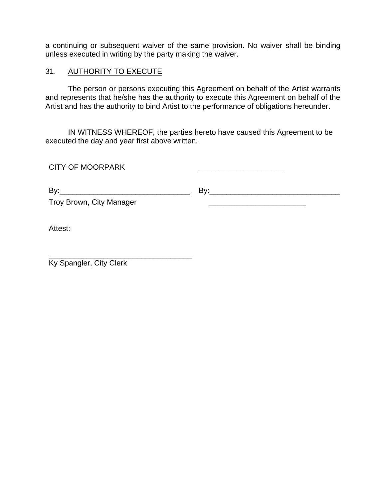a continuing or subsequent waiver of the same provision. No waiver shall be binding unless executed in writing by the party making the waiver.

#### 31. AUTHORITY TO EXECUTE

The person or persons executing this Agreement on behalf of the Artist warrants and represents that he/she has the authority to execute this Agreement on behalf of the Artist and has the authority to bind Artist to the performance of obligations hereunder.

IN WITNESS WHEREOF, the parties hereto have caused this Agreement to be executed the day and year first above written.

| <b>CITY OF MOORPARK</b>                                                                                |     |
|--------------------------------------------------------------------------------------------------------|-----|
| By:<br><u> 1989 - Johann Barbara, martxa alemaniar amerikan basar da a</u><br>Troy Brown, City Manager | Bv: |
| Attest:                                                                                                |     |

Ky Spangler, City Clerk

\_\_\_\_\_\_\_\_\_\_\_\_\_\_\_\_\_\_\_\_\_\_\_\_\_\_\_\_\_\_\_\_\_\_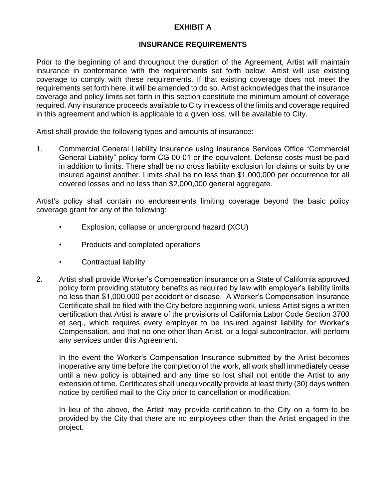# **EXHIBIT A**

# **INSURANCE REQUIREMENTS**

Prior to the beginning of and throughout the duration of the Agreement, Artist will maintain insurance in conformance with the requirements set forth below. Artist will use existing coverage to comply with these requirements. If that existing coverage does not meet the requirements set forth here, it will be amended to do so. Artist acknowledges that the insurance coverage and policy limits set forth in this section constitute the minimum amount of coverage required. Any insurance proceeds available to City in excess of the limits and coverage required in this agreement and which is applicable to a given loss, will be available to City.

Artist shall provide the following types and amounts of insurance:

1. Commercial General Liability Insurance using Insurance Services Office "Commercial General Liability" policy form CG 00 01 or the equivalent. Defense costs must be paid in addition to limits. There shall be no cross liability exclusion for claims or suits by one insured against another. Limits shall be no less than \$1,000,000 per occurrence for all covered losses and no less than \$2,000,000 general aggregate.

Artist's policy shall contain no endorsements limiting coverage beyond the basic policy coverage grant for any of the following:

- Explosion, collapse or underground hazard (XCU)
- Products and completed operations
- Contractual liability
- 2. Artist shall provide Worker's Compensation insurance on a State of California approved policy form providing statutory benefits as required by law with employer's liability limits no less than \$1,000,000 per accident or disease. A Worker's Compensation Insurance Certificate shall be filed with the City before beginning work, unless Artist signs a written certification that Artist is aware of the provisions of California Labor Code Section 3700 et seq., which requires every employer to be insured against liability for Worker's Compensation, and that no one other than Artist, or a legal subcontractor, will perform any services under this Agreement.

In the event the Worker's Compensation Insurance submitted by the Artist becomes inoperative any time before the completion of the work, all work shall immediately cease until a new policy is obtained and any time so lost shall not entitle the Artist to any extension of time. Certificates shall unequivocally provide at least thirty (30) days written notice by certified mail to the City prior to cancellation or modification.

In lieu of the above, the Artist may provide certification to the City on a form to be provided by the City that there are no employees other than the Artist engaged in the project.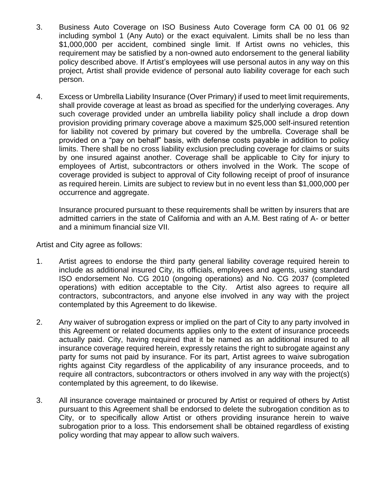- 3. Business Auto Coverage on ISO Business Auto Coverage form CA 00 01 06 92 including symbol 1 (Any Auto) or the exact equivalent. Limits shall be no less than \$1,000,000 per accident, combined single limit. If Artist owns no vehicles, this requirement may be satisfied by a non-owned auto endorsement to the general liability policy described above. If Artist's employees will use personal autos in any way on this project, Artist shall provide evidence of personal auto liability coverage for each such person.
- 4. Excess or Umbrella Liability Insurance (Over Primary) if used to meet limit requirements, shall provide coverage at least as broad as specified for the underlying coverages. Any such coverage provided under an umbrella liability policy shall include a drop down provision providing primary coverage above a maximum \$25,000 self-insured retention for liability not covered by primary but covered by the umbrella. Coverage shall be provided on a "pay on behalf" basis, with defense costs payable in addition to policy limits. There shall be no cross liability exclusion precluding coverage for claims or suits by one insured against another. Coverage shall be applicable to City for injury to employees of Artist, subcontractors or others involved in the Work. The scope of coverage provided is subject to approval of City following receipt of proof of insurance as required herein. Limits are subject to review but in no event less than \$1,000,000 per occurrence and aggregate.

Insurance procured pursuant to these requirements shall be written by insurers that are admitted carriers in the state of California and with an A.M. Best rating of A- or better and a minimum financial size VII.

Artist and City agree as follows:

- 1. Artist agrees to endorse the third party general liability coverage required herein to include as additional insured City, its officials, employees and agents, using standard ISO endorsement No. CG 2010 (ongoing operations) and No. CG 2037 (completed operations) with edition acceptable to the City. Artist also agrees to require all contractors, subcontractors, and anyone else involved in any way with the project contemplated by this Agreement to do likewise.
- 2. Any waiver of subrogation express or implied on the part of City to any party involved in this Agreement or related documents applies only to the extent of insurance proceeds actually paid. City, having required that it be named as an additional insured to all insurance coverage required herein, expressly retains the right to subrogate against any party for sums not paid by insurance. For its part, Artist agrees to waive subrogation rights against City regardless of the applicability of any insurance proceeds, and to require all contractors, subcontractors or others involved in any way with the project(s) contemplated by this agreement, to do likewise.
- 3. All insurance coverage maintained or procured by Artist or required of others by Artist pursuant to this Agreement shall be endorsed to delete the subrogation condition as to City, or to specifically allow Artist or others providing insurance herein to waive subrogation prior to a loss. This endorsement shall be obtained regardless of existing policy wording that may appear to allow such waivers.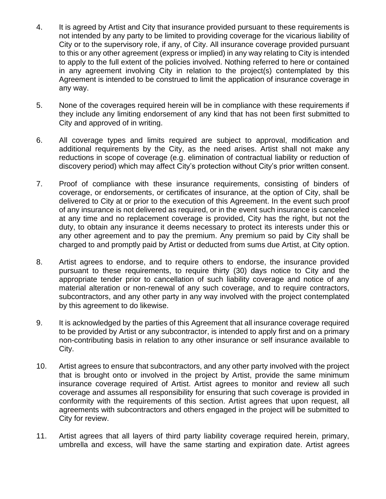- 4. It is agreed by Artist and City that insurance provided pursuant to these requirements is not intended by any party to be limited to providing coverage for the vicarious liability of City or to the supervisory role, if any, of City. All insurance coverage provided pursuant to this or any other agreement (express or implied) in any way relating to City is intended to apply to the full extent of the policies involved. Nothing referred to here or contained in any agreement involving City in relation to the project(s) contemplated by this Agreement is intended to be construed to limit the application of insurance coverage in any way.
- 5. None of the coverages required herein will be in compliance with these requirements if they include any limiting endorsement of any kind that has not been first submitted to City and approved of in writing.
- 6. All coverage types and limits required are subject to approval, modification and additional requirements by the City, as the need arises. Artist shall not make any reductions in scope of coverage (e.g. elimination of contractual liability or reduction of discovery period) which may affect City's protection without City's prior written consent.
- 7. Proof of compliance with these insurance requirements, consisting of binders of coverage, or endorsements, or certificates of insurance, at the option of City, shall be delivered to City at or prior to the execution of this Agreement. In the event such proof of any insurance is not delivered as required, or in the event such insurance is canceled at any time and no replacement coverage is provided, City has the right, but not the duty, to obtain any insurance it deems necessary to protect its interests under this or any other agreement and to pay the premium. Any premium so paid by City shall be charged to and promptly paid by Artist or deducted from sums due Artist, at City option.
- 8. Artist agrees to endorse, and to require others to endorse, the insurance provided pursuant to these requirements, to require thirty (30) days notice to City and the appropriate tender prior to cancellation of such liability coverage and notice of any material alteration or non-renewal of any such coverage, and to require contractors, subcontractors, and any other party in any way involved with the project contemplated by this agreement to do likewise.
- 9. It is acknowledged by the parties of this Agreement that all insurance coverage required to be provided by Artist or any subcontractor, is intended to apply first and on a primary non-contributing basis in relation to any other insurance or self insurance available to City.
- 10. Artist agrees to ensure that subcontractors, and any other party involved with the project that is brought onto or involved in the project by Artist, provide the same minimum insurance coverage required of Artist. Artist agrees to monitor and review all such coverage and assumes all responsibility for ensuring that such coverage is provided in conformity with the requirements of this section. Artist agrees that upon request, all agreements with subcontractors and others engaged in the project will be submitted to City for review.
- 11. Artist agrees that all layers of third party liability coverage required herein, primary, umbrella and excess, will have the same starting and expiration date. Artist agrees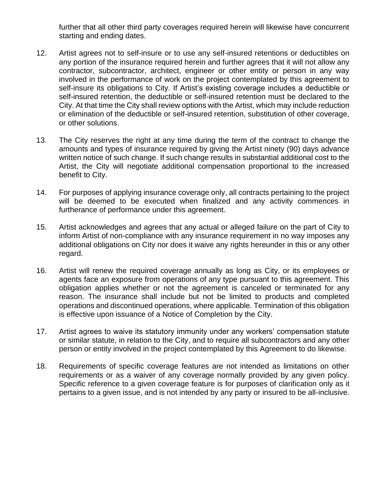further that all other third party coverages required herein will likewise have concurrent starting and ending dates.

- 12. Artist agrees not to self-insure or to use any self-insured retentions or deductibles on any portion of the insurance required herein and further agrees that it will not allow any contractor, subcontractor, architect, engineer or other entity or person in any way involved in the performance of work on the project contemplated by this agreement to self-insure its obligations to City. If Artist's existing coverage includes a deductible or self-insured retention, the deductible or self-insured retention must be declared to the City. At that time the City shall review options with the Artist, which may include reduction or elimination of the deductible or self-insured retention, substitution of other coverage, or other solutions.
- 13. The City reserves the right at any time during the term of the contract to change the amounts and types of insurance required by giving the Artist ninety (90) days advance written notice of such change. If such change results in substantial additional cost to the Artist, the City will negotiate additional compensation proportional to the increased benefit to City.
- 14. For purposes of applying insurance coverage only, all contracts pertaining to the project will be deemed to be executed when finalized and any activity commences in furtherance of performance under this agreement.
- 15. Artist acknowledges and agrees that any actual or alleged failure on the part of City to inform Artist of non-compliance with any insurance requirement in no way imposes any additional obligations on City nor does it waive any rights hereunder in this or any other regard.
- 16. Artist will renew the required coverage annually as long as City, or its employees or agents face an exposure from operations of any type pursuant to this agreement. This obligation applies whether or not the agreement is canceled or terminated for any reason. The insurance shall include but not be limited to products and completed operations and discontinued operations, where applicable. Termination of this obligation is effective upon issuance of a Notice of Completion by the City.
- 17. Artist agrees to waive its statutory immunity under any workers' compensation statute or similar statute, in relation to the City, and to require all subcontractors and any other person or entity involved in the project contemplated by this Agreement to do likewise.
- 18. Requirements of specific coverage features are not intended as limitations on other requirements or as a waiver of any coverage normally provided by any given policy. Specific reference to a given coverage feature is for purposes of clarification only as it pertains to a given issue, and is not intended by any party or insured to be all-inclusive.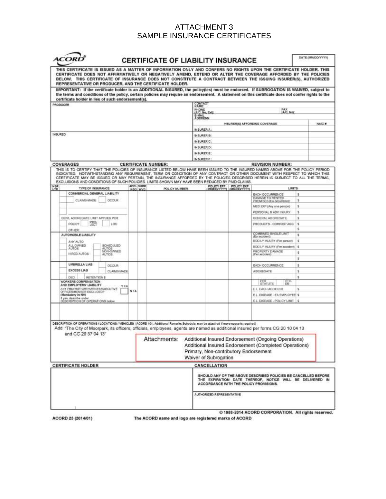# ATTACHMENT 3 SAMPLE INSURANCE CERTIFICATES

| <b>ACORD</b>                                                                                                                                                                                                                                                                                                                                                                                                                                                                                       |           | <b>CERTIFICATE OF LIABILITY INSURANCE</b> |                                  |                           |                                                            |                                                                                                                                                                      | DATE (MM/DD/YYYY) |
|----------------------------------------------------------------------------------------------------------------------------------------------------------------------------------------------------------------------------------------------------------------------------------------------------------------------------------------------------------------------------------------------------------------------------------------------------------------------------------------------------|-----------|-------------------------------------------|----------------------------------|---------------------------|------------------------------------------------------------|----------------------------------------------------------------------------------------------------------------------------------------------------------------------|-------------------|
| THIS CERTIFICATE IS ISSUED AS A MATTER OF INFORMATION ONLY AND CONFERS NO RIGHTS UPON THE CERTIFICATE HOLDER. THIS<br>CERTIFICATE DOES NOT AFFIRMATIVELY OR NEGATIVELY AMEND, EXTEND OR ALTER THE COVERAGE AFFORDED BY THE POLICIES<br>BELOW. THIS CERTIFICATE OF INSURANCE DOES NOT CONSTITUTE A CONTRACT BETWEEN THE ISSUING INSURER(S), AUTHORIZED<br>REPRESENTATIVE OR PRODUCER, AND THE CERTIFICATE HOLDER.                                                                                   |           |                                           |                                  |                           |                                                            |                                                                                                                                                                      |                   |
| IMPORTANT: If the certificate holder is an ADDITIONAL INSURED, the policy(ies) must be endorsed. If SUBROGATION IS WAIVED, subject to<br>the terms and conditions of the policy, certain policies may require an endorsement. A statement on this certificate does not confer rights to the<br>certificate holder in lieu of such endorsement(s).                                                                                                                                                  |           |                                           |                                  |                           |                                                            |                                                                                                                                                                      |                   |
| PRODUCER                                                                                                                                                                                                                                                                                                                                                                                                                                                                                           |           |                                           | CONTACT<br>NAME                  |                           |                                                            |                                                                                                                                                                      |                   |
|                                                                                                                                                                                                                                                                                                                                                                                                                                                                                                    |           |                                           | PHONE                            |                           |                                                            | FAX<br>IA/C, Not                                                                                                                                                     |                   |
|                                                                                                                                                                                                                                                                                                                                                                                                                                                                                                    |           |                                           | (A/C. No. Ext);<br><b>E-MAIL</b> |                           |                                                            |                                                                                                                                                                      |                   |
|                                                                                                                                                                                                                                                                                                                                                                                                                                                                                                    |           |                                           | <b>ADDRESS</b>                   |                           |                                                            |                                                                                                                                                                      |                   |
|                                                                                                                                                                                                                                                                                                                                                                                                                                                                                                    |           |                                           |                                  |                           |                                                            | INSURER(S) AFFORDING COVERAGE                                                                                                                                        | <b>NAIC N</b>     |
|                                                                                                                                                                                                                                                                                                                                                                                                                                                                                                    |           |                                           | INSURER A                        |                           |                                                            |                                                                                                                                                                      |                   |
| INSURED                                                                                                                                                                                                                                                                                                                                                                                                                                                                                            |           |                                           | INSURER B                        |                           |                                                            |                                                                                                                                                                      |                   |
|                                                                                                                                                                                                                                                                                                                                                                                                                                                                                                    |           |                                           | INSURER C:                       |                           |                                                            |                                                                                                                                                                      |                   |
|                                                                                                                                                                                                                                                                                                                                                                                                                                                                                                    |           |                                           | INSURER D                        |                           |                                                            |                                                                                                                                                                      |                   |
|                                                                                                                                                                                                                                                                                                                                                                                                                                                                                                    |           |                                           | <b>INSURER E:</b>                |                           |                                                            |                                                                                                                                                                      |                   |
|                                                                                                                                                                                                                                                                                                                                                                                                                                                                                                    |           |                                           | INSURER F.                       |                           |                                                            |                                                                                                                                                                      |                   |
| <b>COVERAGES</b>                                                                                                                                                                                                                                                                                                                                                                                                                                                                                   |           | <b>CERTIFICATE NUMBER:</b>                |                                  |                           |                                                            | <b>REVISION NUMBER:</b>                                                                                                                                              |                   |
| THIS IS TO CERTIFY THAT THE POLICIES OF INSURANCE LISTED BELOW HAVE BEEN ISSUED TO THE INSURED NAMED ABOVE FOR THE POLICY PERIOD<br>INDICATED. NOTWITHSTANDING ANY REQUIREMENT, TERM OR CONDITION OF ANY CONTRACT OR OTHER DOCUMENT WITH RESPECT TO WHICH THIS<br>CERTIFICATE MAY BE ISSUED OR MAY PERTAIN, THE INSURANCE AFFORDED BY THE POLICIES DESCRIBED HEREIN IS SUBJECT TO ALL THE TERMS.<br>EXCLUSIONS AND CONDITIONS OF SUCH POLICIES. LIMITS SHOWN MAY HAVE BEEN REDUCED BY PAID CLAIMS. |           |                                           |                                  |                           |                                                            |                                                                                                                                                                      |                   |
| IN <sub>SR</sub>                                                                                                                                                                                                                                                                                                                                                                                                                                                                                   | ADDL SUBR |                                           |                                  |                           | <b>POLICY EFF POLICY EXP</b><br>MIMIDOAYYYY) (MIMIDOAYYYY) |                                                                                                                                                                      |                   |
| <b>TYPE OF INSURANCE</b><br><b>LTR</b><br>CONMERCIAL GENERAL LIABILITY.                                                                                                                                                                                                                                                                                                                                                                                                                            | INSO WVD  | POLICY NUMBER                             |                                  |                           |                                                            | LIMITS.                                                                                                                                                              |                   |
|                                                                                                                                                                                                                                                                                                                                                                                                                                                                                                    |           |                                           |                                  |                           |                                                            | EACH OCCURRENCE<br>DAMAGE TO RENTED                                                                                                                                  | s                 |
| OCCUR<br>CLAIMS-MADE                                                                                                                                                                                                                                                                                                                                                                                                                                                                               |           |                                           |                                  |                           |                                                            | PREMISES (Ea occurrence)                                                                                                                                             | \$                |
|                                                                                                                                                                                                                                                                                                                                                                                                                                                                                                    |           |                                           |                                  |                           |                                                            | MED EXP (Any one person)                                                                                                                                             | \$                |
|                                                                                                                                                                                                                                                                                                                                                                                                                                                                                                    |           |                                           |                                  |                           |                                                            | PERSONAL & ADV INJURY                                                                                                                                                | \$                |
| GEN'L AGGREGATE LIMIT APPLIES PER                                                                                                                                                                                                                                                                                                                                                                                                                                                                  |           |                                           |                                  |                           |                                                            | GENERAL AGGREGATE                                                                                                                                                    | s                 |
| PRO-<br>POLICY<br><b>LDC</b><br><b>JECT</b>                                                                                                                                                                                                                                                                                                                                                                                                                                                        |           |                                           |                                  |                           |                                                            | PRODUCTS - DOMPICP AGG                                                                                                                                               | ×                 |
| OTHER                                                                                                                                                                                                                                                                                                                                                                                                                                                                                              |           |                                           |                                  |                           |                                                            |                                                                                                                                                                      | 言                 |
| AUTOMOBILE LIABILITY                                                                                                                                                                                                                                                                                                                                                                                                                                                                               |           |                                           |                                  |                           |                                                            | COMEINED BRIGLET MIT<br>(Ea accident)                                                                                                                                | s                 |
| OTLIA YMA                                                                                                                                                                                                                                                                                                                                                                                                                                                                                          |           |                                           |                                  |                           |                                                            | BODILY INJURY (Per person)                                                                                                                                           | 害                 |
| ALL OWNED<br><b>BCHEDIAED</b>                                                                                                                                                                                                                                                                                                                                                                                                                                                                      |           |                                           |                                  |                           |                                                            | BODEY INJURY (Per accident)                                                                                                                                          | s                 |
| <b>AUTOS</b><br><b>AUTOS</b><br>NON-OWNED                                                                                                                                                                                                                                                                                                                                                                                                                                                          |           |                                           |                                  |                           |                                                            | PROPERTY DAMAGE                                                                                                                                                      | 害                 |
| HIRED AUTOS<br><b>AUTOS</b>                                                                                                                                                                                                                                                                                                                                                                                                                                                                        |           |                                           |                                  |                           |                                                            | (Per accident)                                                                                                                                                       | s                 |
| UMBRELLA LIAB                                                                                                                                                                                                                                                                                                                                                                                                                                                                                      |           |                                           |                                  |                           |                                                            |                                                                                                                                                                      |                   |
| <b>DCCLIR</b><br><b>EXCESS LIAB</b>                                                                                                                                                                                                                                                                                                                                                                                                                                                                |           |                                           |                                  |                           |                                                            | EACH OCCURRENCE                                                                                                                                                      | s                 |
| CLAINS-MADE                                                                                                                                                                                                                                                                                                                                                                                                                                                                                        |           |                                           |                                  |                           |                                                            | AGGREGATE                                                                                                                                                            | \$                |
| RETENTION \$<br>CHID                                                                                                                                                                                                                                                                                                                                                                                                                                                                               |           |                                           |                                  |                           |                                                            |                                                                                                                                                                      | s                 |
| WORKERS COMPENSATION<br>AND EMPLOYERS' LIABILITY<br>YZN                                                                                                                                                                                                                                                                                                                                                                                                                                            |           |                                           |                                  |                           |                                                            | $_{\rm{GR}}^{\rm{OTH}}$<br>STATUTE                                                                                                                                   |                   |
| ANY PROPRIETOR/PARTNER/EXECUTIVE<br>OFFICER/MEMBER EXCLUDED*                                                                                                                                                                                                                                                                                                                                                                                                                                       | NIA       |                                           |                                  |                           |                                                            | EL. EACH ACODENT                                                                                                                                                     | 茧                 |
| Mandatory in NH)                                                                                                                                                                                                                                                                                                                                                                                                                                                                                   |           |                                           |                                  |                           |                                                            | EL DISEASE - EA EMPLOYEE \$                                                                                                                                          |                   |
| Fyes, describe under<br>DESCRIPTION OF OPERATIONS below                                                                                                                                                                                                                                                                                                                                                                                                                                            |           |                                           |                                  |                           |                                                            | EL DISEASE - POLICY LIMT                                                                                                                                             | ×                 |
|                                                                                                                                                                                                                                                                                                                                                                                                                                                                                                    |           |                                           |                                  |                           |                                                            |                                                                                                                                                                      |                   |
| DESCRIPTION OF OPERATIONS / LOCATIONS / VEHICLES   ACORD 101, Additional Remarks Schedule, may be attached if more space is required)<br>Add: "The City of Moorpark, its officers, officials, employees, agents are named as additional insured per forms CG 20 10 04 13<br>and CG 20 37 04 13"                                                                                                                                                                                                    |           |                                           |                                  |                           |                                                            |                                                                                                                                                                      |                   |
|                                                                                                                                                                                                                                                                                                                                                                                                                                                                                                    |           | Attachments:                              |                                  | Waiver of Subrogation     | Primary, Non-contributory Endorsement                      | Additional Insured Endorsement (Ongoing Operations)<br>Additional Insured Endorsement (Completed Operations)                                                         |                   |
|                                                                                                                                                                                                                                                                                                                                                                                                                                                                                                    |           |                                           |                                  |                           |                                                            |                                                                                                                                                                      |                   |
| <b>CERTIFICATE HOLDER</b>                                                                                                                                                                                                                                                                                                                                                                                                                                                                          |           |                                           |                                  | CANCELLATION              |                                                            | SHOULD ANY OF THE ABOVE DESCRIBED POLICIES BE CANCELLED BEFORE<br>THE EXPIRATION DATE THEREOF, NOTICE WILL BE DELIVERED IN<br>ACCORDANCE WITH THE POLICY PROVISIONS. |                   |
|                                                                                                                                                                                                                                                                                                                                                                                                                                                                                                    |           |                                           |                                  | AUTHORIZED REPRESENTATIVE |                                                            |                                                                                                                                                                      |                   |

ACORD 25 (2014/01)

The ACORD name and logo are registered marks of ACORD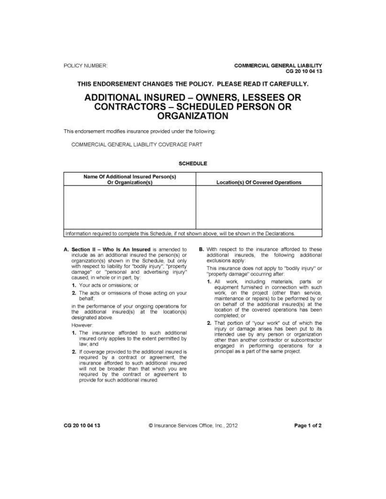#### THIS ENDORSEMENT CHANGES THE POLICY. PLEASE READ IT CAREFULLY.

# **ADDITIONAL INSURED - OWNERS, LESSEES OR CONTRACTORS - SCHEDULED PERSON OR ORGANIZATION**

This endorsement modifies insurance provided under the following:

COMMERCIAL GENERAL LIABILITY COVERAGE PART

#### **SCHEDULE**

| <b>Location(s) Of Covered Operations</b> |
|------------------------------------------|
|                                          |
|                                          |
|                                          |
|                                          |
|                                          |
|                                          |

- A. Section II Who Is An Insured is amended to include as an additional insured the person(s) or organization(s) shown in the Schedule, but only with respect to liability for "bodily injury", "property damage" or "personal and advertising injury" caused, in whole or in part, by:
	- 1. Your acts or omissions; or
	- 2. The acts or omissions of those acting on your behalf:

in the performance of your ongoing operations for the additional insured(s) at the location(s) designated above.

However:

- 1. The insurance afforded to such additional insured only applies to the extent permitted by law; and
- 2. If coverage provided to the additional insured is required by a contract or agreement, the insurance afforded to such additional insured will not be broader than that which you are required by the contract or agreement to provide for such additional insured.

B. With respect to the insurance afforded to these additional insureds, the following additional exclusions apply:

This insurance does not apply to "bodily injury" or "property damage" occurring after:

- 1. All work, including materials, parts or equipment furnished in connection with such work, on the project (other than service, maintenance or repairs) to be performed by or on behalf of the additional insured(s) at the location of the covered operations has been completed; or
- 2. That portion of "your work" out of which the injury or damage arises has been put to its intended use by any person or organization other than another contractor or subcontractor engaged in performing operations for a principal as a part of the same project.

CG 20 10 04 13

@ Insurance Services Office, Inc., 2012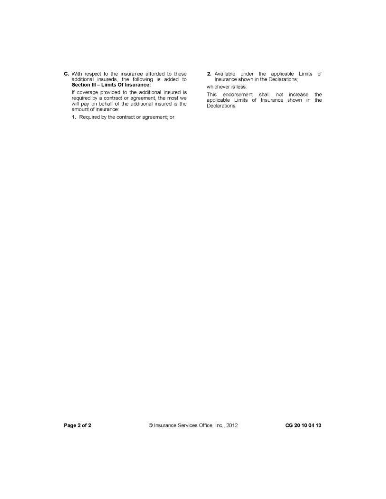C. With respect to the insurance afforded to these<br>additional insureds, the following is added to<br>Section III - Limits Of Insurance:

If coverage provided to the additional insured is required by a contract or agreement, the most we<br>will pay on behalf of the additional insured is the<br>amount of insurance:

1. Required by the contract or agreement; or

2. Available under the applicable Limits of Insurance shown in the Declarations; whichever is less.

This endorsement shall not increase the<br>applicable Limits of Insurance shown in the<br>Declarations.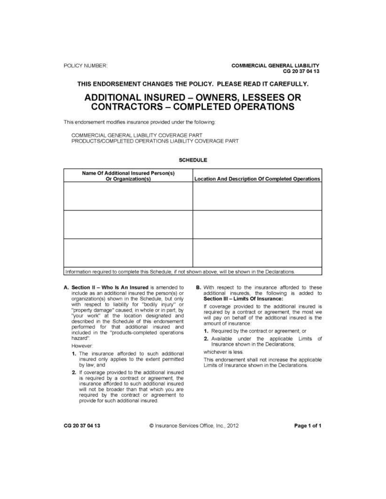#### THIS ENDORSEMENT CHANGES THE POLICY. PLEASE READ IT CAREFULLY.

# **ADDITIONAL INSURED - OWNERS, LESSEES OR CONTRACTORS - COMPLETED OPERATIONS**

This endorsement modifies insurance provided under the following

COMMERCIAL GENERAL LIABILITY COVERAGE PART PRODUCTS/COMPLETED OPERATIONS LIABILITY COVERAGE PART

#### **SCHEDULE**

| Name Of Additional Insured Person(s)<br>Or Organization(s) | <b>Location And Description Of Completed Operations</b> |
|------------------------------------------------------------|---------------------------------------------------------|
|                                                            |                                                         |
|                                                            |                                                         |
|                                                            |                                                         |
|                                                            |                                                         |
|                                                            |                                                         |
|                                                            |                                                         |

Information required to complete this Schedule, if not shown above, will be shown in the Declarations.

A. Section II - Who Is An Insured is amended to include as an additional insured the person(s) or organization(s) shown in the Schedule, but only with respect to liability for "bodily injury" or "property damage" caused, in whole or in part, by "your work" at the location designated and described in the Schedule of this endorsement performed for that additional insured and included in the "products-completed operations hazard".

However:

- 1. The insurance afforded to such additional insured only applies to the extent permitted by law; and
- 2. If coverage provided to the additional insured is required by a contract or agreement, the insurance afforded to such additional insured will not be broader than that which you are required by the contract or agreement to provide for such additional insured.

B. With respect to the insurance afforded to these additional insureds, the following is added to Section III - Limits Of Insurance:

If coverage provided to the additional insured is required by a contract or agreement, the most we will pay on behalf of the additional insured is the amount of insurance:

- 1. Required by the contract or agreement; or
- 2. Available under the applicable Limits of Insurance shown in the Declarations;

whichever is less.

This endorsement shall not increase the applicable Limits of Insurance shown in the Declarations.

CG 20 37 04 13

C Insurance Services Office, Inc., 2012

Page 1 of 1